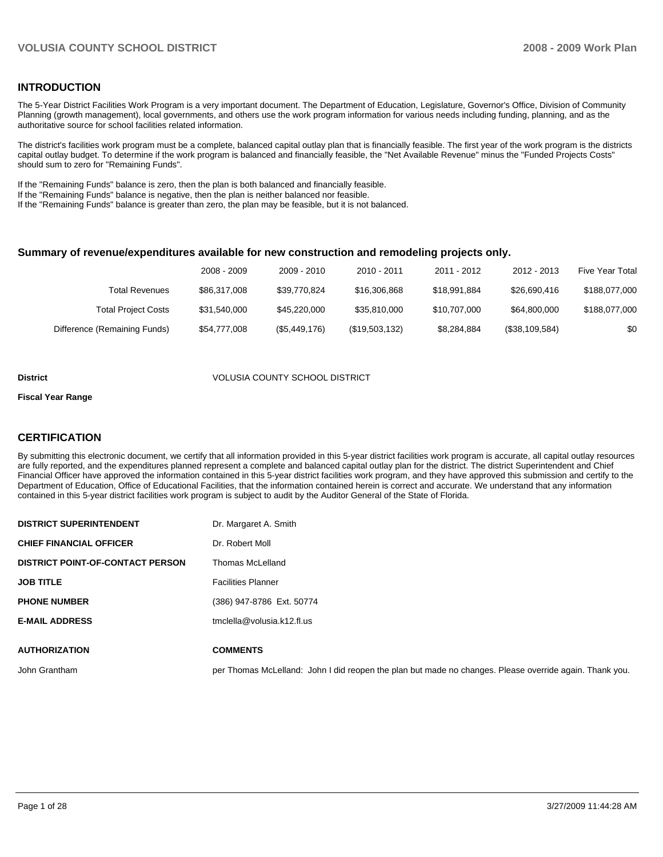#### **INTRODUCTION**

The 5-Year District Facilities Work Program is a very important document. The Department of Education, Legislature, Governor's Office, Division of Community Planning (growth management), local governments, and others use the work program information for various needs including funding, planning, and as the authoritative source for school facilities related information.

The district's facilities work program must be a complete, balanced capital outlay plan that is financially feasible. The first year of the work program is the districts capital outlay budget. To determine if the work program is balanced and financially feasible, the "Net Available Revenue" minus the "Funded Projects Costs" should sum to zero for "Remaining Funds".

If the "Remaining Funds" balance is zero, then the plan is both balanced and financially feasible.

If the "Remaining Funds" balance is negative, then the plan is neither balanced nor feasible.

**DISTRICT SUPERINTENDENT** Dr. Margaret A. Smith

If the "Remaining Funds" balance is greater than zero, the plan may be feasible, but it is not balanced.

#### **Summary of revenue/expenditures available for new construction and remodeling projects only.**

|                              | 2008 - 2009  | 2009 - 2010   | $2010 - 2011$  | 2011 - 2012  | 2012 - 2013    | <b>Five Year Total</b> |
|------------------------------|--------------|---------------|----------------|--------------|----------------|------------------------|
| Total Revenues               | \$86,317,008 | \$39.770.824  | \$16,306,868   | \$18.991.884 | \$26.690.416   | \$188,077,000          |
| <b>Total Project Costs</b>   | \$31.540.000 | \$45,220,000  | \$35.810.000   | \$10.707.000 | \$64.800.000   | \$188,077,000          |
| Difference (Remaining Funds) | \$54,777,008 | (\$5,449,176) | (\$19,503,132) | \$8,284,884  | (\$38,109,584) | \$0                    |

#### **District** VOLUSIA COUNTY SCHOOL DISTRICT

#### **Fiscal Year Range**

#### **CERTIFICATION**

By submitting this electronic document, we certify that all information provided in this 5-year district facilities work program is accurate, all capital outlay resources are fully reported, and the expenditures planned represent a complete and balanced capital outlay plan for the district. The district Superintendent and Chief Financial Officer have approved the information contained in this 5-year district facilities work program, and they have approved this submission and certify to the Department of Education, Office of Educational Facilities, that the information contained herein is correct and accurate. We understand that any information contained in this 5-year district facilities work program is subject to audit by the Auditor General of the State of Florida.

| <b>CHIEF FINANCIAL OFFICER</b>          | Dr. Robert Moll                                                                                         |
|-----------------------------------------|---------------------------------------------------------------------------------------------------------|
| <b>DISTRICT POINT-OF-CONTACT PERSON</b> | Thomas McLelland                                                                                        |
| <b>JOB TITLE</b>                        | <b>Facilities Planner</b>                                                                               |
| <b>PHONE NUMBER</b>                     | (386) 947-8786 Ext. 50774                                                                               |
| <b>E-MAIL ADDRESS</b>                   | tmclella@volusia.k12.fl.us                                                                              |
|                                         |                                                                                                         |
| <b>AUTHORIZATION</b>                    | <b>COMMENTS</b>                                                                                         |
| John Grantham                           | per Thomas McLelland: John I did reopen the plan but made no changes. Please override again. Thank you. |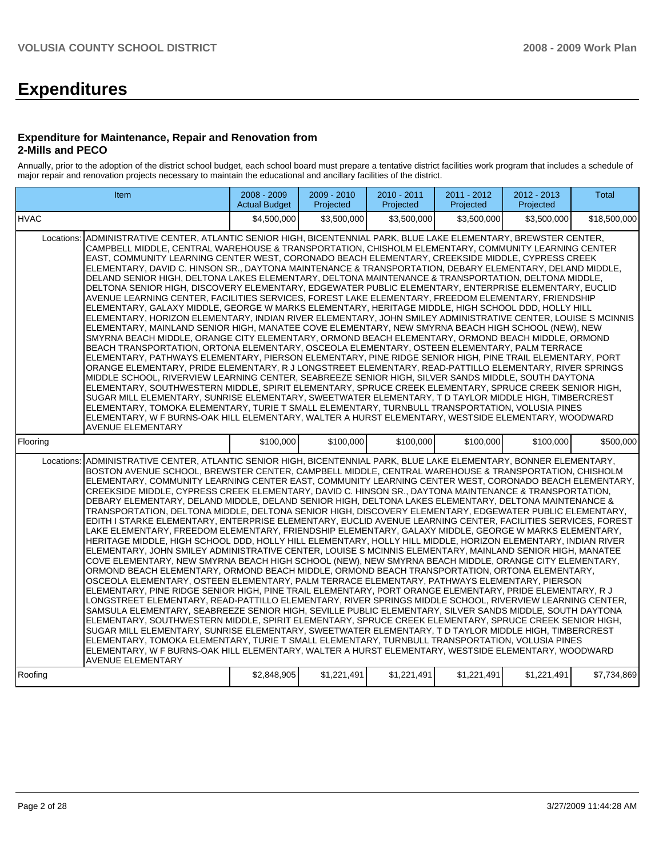# **Expenditures**

#### **Expenditure for Maintenance, Repair and Renovation from 2-Mills and PECO**

Annually, prior to the adoption of the district school budget, each school board must prepare a tentative district facilities work program that includes a schedule of major repair and renovation projects necessary to maintain the educational and ancillary facilities of the district.

| Item                                                                                                                                                                                                                                                                                                                                                                                                                                                                                                                                                                                                                                                                                                                                                                                                                                                                                                                                                                                                                                                                                                                                                                                                                                                                                                                                                                                                                                                                                                                                                                                                                                                                                                                                                                                                                                                                                                                                                                                                                                                                                                                                                                                                                                | 2008 - 2009<br><b>Actual Budget</b> | 2009 - 2010<br>Projected | 2010 - 2011<br>Projected | 2011 - 2012<br>Projected | 2012 - 2013<br>Projected | Total        |  |
|-------------------------------------------------------------------------------------------------------------------------------------------------------------------------------------------------------------------------------------------------------------------------------------------------------------------------------------------------------------------------------------------------------------------------------------------------------------------------------------------------------------------------------------------------------------------------------------------------------------------------------------------------------------------------------------------------------------------------------------------------------------------------------------------------------------------------------------------------------------------------------------------------------------------------------------------------------------------------------------------------------------------------------------------------------------------------------------------------------------------------------------------------------------------------------------------------------------------------------------------------------------------------------------------------------------------------------------------------------------------------------------------------------------------------------------------------------------------------------------------------------------------------------------------------------------------------------------------------------------------------------------------------------------------------------------------------------------------------------------------------------------------------------------------------------------------------------------------------------------------------------------------------------------------------------------------------------------------------------------------------------------------------------------------------------------------------------------------------------------------------------------------------------------------------------------------------------------------------------------|-------------------------------------|--------------------------|--------------------------|--------------------------|--------------------------|--------------|--|
| <b>HVAC</b>                                                                                                                                                                                                                                                                                                                                                                                                                                                                                                                                                                                                                                                                                                                                                                                                                                                                                                                                                                                                                                                                                                                                                                                                                                                                                                                                                                                                                                                                                                                                                                                                                                                                                                                                                                                                                                                                                                                                                                                                                                                                                                                                                                                                                         | \$4.500.000                         | \$3,500,000              | \$3.500.000              | \$3,500,000              | \$3.500.000              | \$18,500,000 |  |
| ADMINISTRATIVE CENTER, ATLANTIC SENIOR HIGH, BICENTENNIAL PARK, BLUE LAKE ELEMENTARY, BREWSTER CENTER,<br>Locations:<br>CAMPBELL MIDDLE, CENTRAL WAREHOUSE & TRANSPORTATION, CHISHOLM ELEMENTARY, COMMUNITY LEARNING CENTER<br>EAST, COMMUNITY LEARNING CENTER WEST, CORONADO BEACH ELEMENTARY, CREEKSIDE MIDDLE, CYPRESS CREEK<br>ELEMENTARY, DAVID C. HINSON SR., DAYTONA MAINTENANCE & TRANSPORTATION, DEBARY ELEMENTARY, DELAND MIDDLE,<br>DELAND SENIOR HIGH, DELTONA LAKES ELEMENTARY, DELTONA MAINTENANCE & TRANSPORTATION, DELTONA MIDDLE,<br>DELTONA SENIOR HIGH, DISCOVERY ELEMENTARY, EDGEWATER PUBLIC ELEMENTARY, ENTERPRISE ELEMENTARY, EUCLID<br>AVENUE LEARNING CENTER, FACILITIES SERVICES, FOREST LAKE ELEMENTARY, FREEDOM ELEMENTARY, FRIENDSHIP<br>ELEMENTARY, GALAXY MIDDLE, GEORGE W MARKS ELEMENTARY, HERITAGE MIDDLE, HIGH SCHOOL DDD, HOLLY HILL<br>ELEMENTARY, HORIZON ELEMENTARY, INDIAN RIVER ELEMENTARY, JOHN SMILEY ADMINISTRATIVE CENTER, LOUISE S MCINNIS<br>ELEMENTARY, MAINLAND SENIOR HIGH, MANATEE COVE ELEMENTARY, NEW SMYRNA BEACH HIGH SCHOOL (NEW), NEW<br>SMYRNA BEACH MIDDLE, ORANGE CITY ELEMENTARY, ORMOND BEACH ELEMENTARY, ORMOND BEACH MIDDLE, ORMOND<br>BEACH TRANSPORTATION, ORTONA ELEMENTARY, OSCEOLA ELEMENTARY, OSTEEN ELEMENTARY, PALM TERRACE<br>ELEMENTARY, PATHWAYS ELEMENTARY, PIERSON ELEMENTARY, PINE RIDGE SENIOR HIGH, PINE TRAIL ELEMENTARY, PORT<br>ORANGE ELEMENTARY, PRIDE ELEMENTARY, R J LONGSTREET ELEMENTARY, READ-PATTILLO ELEMENTARY, RIVER SPRINGS<br>MIDDLE SCHOOL, RIVERVIEW LEARNING CENTER, SEABREEZE SENIOR HIGH, SILVER SANDS MIDDLE, SOUTH DAYTONA<br>ELEMENTARY, SOUTHWESTERN MIDDLE, SPIRIT ELEMENTARY, SPRUCE CREEK ELEMENTARY, SPRUCE CREEK SENIOR HIGH,<br>SUGAR MILL ELEMENTARY, SUNRISE ELEMENTARY, SWEETWATER ELEMENTARY, T D TAYLOR MIDDLE HIGH, TIMBERCREST<br>ELEMENTARY, TOMOKA ELEMENTARY, TURIE T SMALL ELEMENTARY, TURNBULL TRANSPORTATION, VOLUSIA PINES<br>ELEMENTARY, W F BURNS-OAK HILL ELEMENTARY, WALTER A HURST ELEMENTARY, WESTSIDE ELEMENTARY, WOODWARD<br><b>AVENUE ELEMENTARY</b>                                                                                                                                          |                                     |                          |                          |                          |                          |              |  |
| Flooring                                                                                                                                                                                                                                                                                                                                                                                                                                                                                                                                                                                                                                                                                                                                                                                                                                                                                                                                                                                                                                                                                                                                                                                                                                                                                                                                                                                                                                                                                                                                                                                                                                                                                                                                                                                                                                                                                                                                                                                                                                                                                                                                                                                                                            | \$100,000                           | \$100,000                | \$100,000                | \$100,000                | \$100,000                | \$500.000    |  |
| ADMINISTRATIVE CENTER, ATLANTIC SENIOR HIGH, BICENTENNIAL PARK, BLUE LAKE ELEMENTARY, BONNER ELEMENTARY,<br>Locations:<br>BOSTON AVENUE SCHOOL, BREWSTER CENTER, CAMPBELL MIDDLE, CENTRAL WAREHOUSE & TRANSPORTATION, CHISHOLM<br>ELEMENTARY, COMMUNITY LEARNING CENTER EAST, COMMUNITY LEARNING CENTER WEST, CORONADO BEACH ELEMENTARY,<br>CREEKSIDE MIDDLE, CYPRESS CREEK ELEMENTARY, DAVID C. HINSON SR., DAYTONA MAINTENANCE & TRANSPORTATION,<br>DEBARY ELEMENTARY. DELAND MIDDLE, DELAND SENIOR HIGH, DELTONA LAKES ELEMENTARY, DELTONA MAINTENANCE &<br>TRANSPORTATION, DELTONA MIDDLE, DELTONA SENIOR HIGH, DISCOVERY ELEMENTARY, EDGEWATER PUBLIC ELEMENTARY,<br>EDITH I STARKE ELEMENTARY, ENTERPRISE ELEMENTARY, EUCLID AVENUE LEARNING CENTER, FACILITIES SERVICES, FOREST<br>LAKE ELEMENTARY, FREEDOM ELEMENTARY, FRIENDSHIP ELEMENTARY, GALAXY MIDDLE, GEORGE W MARKS ELEMENTARY,<br>HERITAGE MIDDLE, HIGH SCHOOL DDD, HOLLY HILL ELEMENTARY, HOLLY HILL MIDDLE, HORIZON ELEMENTARY, INDIAN RIVER<br>ELEMENTARY, JOHN SMILEY ADMINISTRATIVE CENTER, LOUISE S MCINNIS ELEMENTARY, MAINLAND SENIOR HIGH, MANATEE<br>COVE ELEMENTARY, NEW SMYRNA BEACH HIGH SCHOOL (NEW), NEW SMYRNA BEACH MIDDLE, ORANGE CITY ELEMENTARY,<br>ORMOND BEACH ELEMENTARY, ORMOND BEACH MIDDLE, ORMOND BEACH TRANSPORTATION, ORTONA ELEMENTARY,<br>OSCEOLA ELEMENTARY, OSTEEN ELEMENTARY, PALM TERRACE ELEMENTARY, PATHWAYS ELEMENTARY, PIERSON<br>ELEMENTARY, PINE RIDGE SENIOR HIGH, PINE TRAIL ELEMENTARY, PORT ORANGE ELEMENTARY, PRIDE ELEMENTARY, R J<br>LONGSTREET ELEMENTARY, READ-PATTILLO ELEMENTARY, RIVER SPRINGS MIDDLE SCHOOL, RIVERVIEW LEARNING CENTER,<br>SAMSULA ELEMENTARY, SEABREEZE SENIOR HIGH, SEVILLE PUBLIC ELEMENTARY, SILVER SANDS MIDDLE, SOUTH DAYTONA<br>ELEMENTARY, SOUTHWESTERN MIDDLE, SPIRIT ELEMENTARY, SPRUCE CREEK ELEMENTARY, SPRUCE CREEK SENIOR HIGH,<br>SUGAR MILL ELEMENTARY, SUNRISE ELEMENTARY, SWEETWATER ELEMENTARY, T D TAYLOR MIDDLE HIGH, TIMBERCREST<br>ELEMENTARY, TOMOKA ELEMENTARY, TURIE T SMALL ELEMENTARY, TURNBULL TRANSPORTATION, VOLUSIA PINES<br>ELEMENTARY, W F BURNS-OAK HILL ELEMENTARY, WALTER A HURST ELEMENTARY, WESTSIDE ELEMENTARY, WOODWARD<br><b>AVENUE ELEMENTARY</b> |                                     |                          |                          |                          |                          |              |  |
| Roofina                                                                                                                                                                                                                                                                                                                                                                                                                                                                                                                                                                                                                                                                                                                                                                                                                                                                                                                                                                                                                                                                                                                                                                                                                                                                                                                                                                                                                                                                                                                                                                                                                                                                                                                                                                                                                                                                                                                                                                                                                                                                                                                                                                                                                             | \$2.848.905                         | \$1,221,491              | \$1,221,491              | \$1,221,491              | \$1.221.491              | \$7.734.869  |  |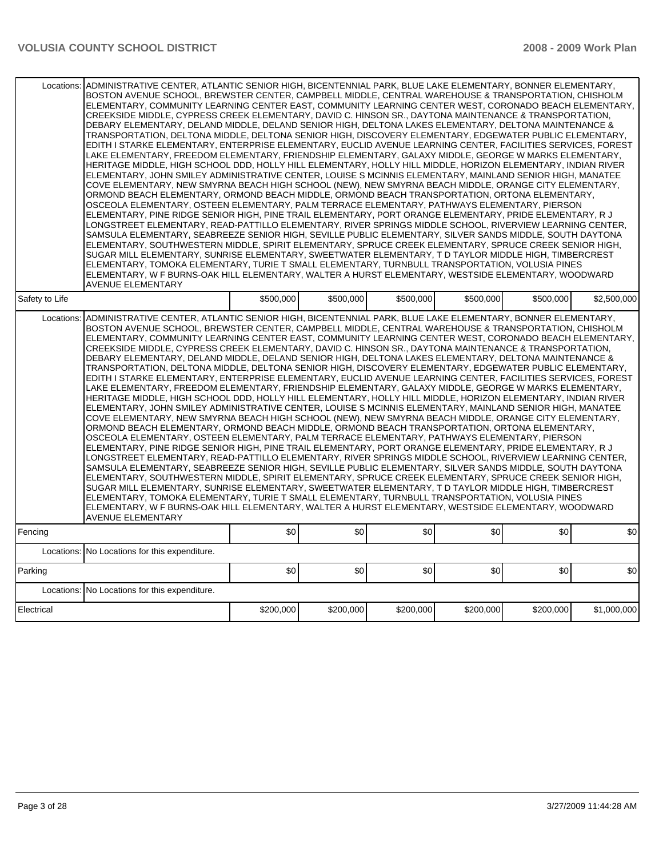|                | Locations: ADMINISTRATIVE CENTER, ATLANTIC SENIOR HIGH, BICENTENNIAL PARK, BLUE LAKE ELEMENTARY, BONNER ELEMENTARY,<br>BOSTON AVENUE SCHOOL, BREWSTER CENTER, CAMPBELL MIDDLE, CENTRAL WAREHOUSE & TRANSPORTATION, CHISHOLM<br>ELEMENTARY, COMMUNITY LEARNING CENTER EAST, COMMUNITY LEARNING CENTER WEST, CORONADO BEACH ELEMENTARY,<br>CREEKSIDE MIDDLE, CYPRESS CREEK ELEMENTARY, DAVID C. HINSON SR., DAYTONA MAINTENANCE & TRANSPORTATION,<br>DEBARY ELEMENTARY, DELAND MIDDLE, DELAND SENIOR HIGH, DELTONA LAKES ELEMENTARY, DELTONA MAINTENANCE &<br>TRANSPORTATION, DELTONA MIDDLE, DELTONA SENIOR HIGH, DISCOVERY ELEMENTARY, EDGEWATER PUBLIC ELEMENTARY,<br>EDITH I STARKE ELEMENTARY, ENTERPRISE ELEMENTARY, EUCLID AVENUE LEARNING CENTER, FACILITIES SERVICES, FOREST<br>LAKE ELEMENTARY, FREEDOM ELEMENTARY, FRIENDSHIP ELEMENTARY, GALAXY MIDDLE, GEORGE W MARKS ELEMENTARY,<br>HERITAGE MIDDLE, HIGH SCHOOL DDD, HOLLY HILL ELEMENTARY, HOLLY HILL MIDDLE, HORIZON ELEMENTARY, INDIAN RIVER<br>ELEMENTARY, JOHN SMILEY ADMINISTRATIVE CENTER, LOUISE S MCINNIS ELEMENTARY, MAINLAND SENIOR HIGH, MANATEE<br>COVE ELEMENTARY, NEW SMYRNA BEACH HIGH SCHOOL (NEW), NEW SMYRNA BEACH MIDDLE, ORANGE CITY ELEMENTARY,<br>ORMOND BEACH ELEMENTARY, ORMOND BEACH MIDDLE, ORMOND BEACH TRANSPORTATION, ORTONA ELEMENTARY,<br>OSCEOLA ELEMENTARY, OSTEEN ELEMENTARY, PALM TERRACE ELEMENTARY, PATHWAYS ELEMENTARY, PIERSON<br>ELEMENTARY, PINE RIDGE SENIOR HIGH, PINE TRAIL ELEMENTARY, PORT ORANGE ELEMENTARY, PRIDE ELEMENTARY, R J<br>LONGSTREET ELEMENTARY, READ-PATTILLO ELEMENTARY, RIVER SPRINGS MIDDLE SCHOOL, RIVERVIEW LEARNING CENTER,<br>SAMSULA ELEMENTARY, SEABREEZE SENIOR HIGH, SEVILLE PUBLIC ELEMENTARY, SILVER SANDS MIDDLE, SOUTH DAYTONA<br>ELEMENTARY, SOUTHWESTERN MIDDLE, SPIRIT ELEMENTARY, SPRUCE CREEK ELEMENTARY, SPRUCE CREEK SENIOR HIGH,<br>SUGAR MILL ELEMENTARY, SUNRISE ELEMENTARY, SWEETWATER ELEMENTARY, T D TAYLOR MIDDLE HIGH, TIMBERCREST<br>ELEMENTARY, TOMOKA ELEMENTARY, TURIE T SMALL ELEMENTARY, TURNBULL TRANSPORTATION, VOLUSIA PINES<br>ELEMENTARY, W F BURNS-OAK HILL ELEMENTARY, WALTER A HURST ELEMENTARY, WESTSIDE ELEMENTARY, WOODWARD<br><b>AVENUE ELEMENTARY</b> |           |           |           |           |           |             |  |  |
|----------------|----------------------------------------------------------------------------------------------------------------------------------------------------------------------------------------------------------------------------------------------------------------------------------------------------------------------------------------------------------------------------------------------------------------------------------------------------------------------------------------------------------------------------------------------------------------------------------------------------------------------------------------------------------------------------------------------------------------------------------------------------------------------------------------------------------------------------------------------------------------------------------------------------------------------------------------------------------------------------------------------------------------------------------------------------------------------------------------------------------------------------------------------------------------------------------------------------------------------------------------------------------------------------------------------------------------------------------------------------------------------------------------------------------------------------------------------------------------------------------------------------------------------------------------------------------------------------------------------------------------------------------------------------------------------------------------------------------------------------------------------------------------------------------------------------------------------------------------------------------------------------------------------------------------------------------------------------------------------------------------------------------------------------------------------------------------------------------------------------------------------------------------------------------------------------------------------------------------------------------|-----------|-----------|-----------|-----------|-----------|-------------|--|--|
| Safety to Life |                                                                                                                                                                                                                                                                                                                                                                                                                                                                                                                                                                                                                                                                                                                                                                                                                                                                                                                                                                                                                                                                                                                                                                                                                                                                                                                                                                                                                                                                                                                                                                                                                                                                                                                                                                                                                                                                                                                                                                                                                                                                                                                                                                                                                                  | \$500,000 | \$500,000 | \$500,000 | \$500,000 | \$500,000 | \$2,500,000 |  |  |
| Locations:     | ADMINISTRATIVE CENTER, ATLANTIC SENIOR HIGH, BICENTENNIAL PARK, BLUE LAKE ELEMENTARY, BONNER ELEMENTARY,<br>BOSTON AVENUE SCHOOL, BREWSTER CENTER, CAMPBELL MIDDLE, CENTRAL WAREHOUSE & TRANSPORTATION, CHISHOLM<br>ELEMENTARY, COMMUNITY LEARNING CENTER EAST, COMMUNITY LEARNING CENTER WEST, CORONADO BEACH ELEMENTARY.<br>CREEKSIDE MIDDLE, CYPRESS CREEK ELEMENTARY, DAVID C. HINSON SR., DAYTONA MAINTENANCE & TRANSPORTATION,<br>DEBARY ELEMENTARY, DELAND MIDDLE, DELAND SENIOR HIGH, DELTONA LAKES ELEMENTARY, DELTONA MAINTENANCE &<br>TRANSPORTATION, DELTONA MIDDLE, DELTONA SENIOR HIGH, DISCOVERY ELEMENTARY, EDGEWATER PUBLIC ELEMENTARY,<br>EDITH I STARKE ELEMENTARY, ENTERPRISE ELEMENTARY, EUCLID AVENUE LEARNING CENTER, FACILITIES SERVICES, FOREST<br>LAKE ELEMENTARY, FREEDOM ELEMENTARY, FRIENDSHIP ELEMENTARY, GALAXY MIDDLE, GEORGE W MARKS ELEMENTARY,<br>HERITAGE MIDDLE, HIGH SCHOOL DDD, HOLLY HILL ELEMENTARY, HOLLY HILL MIDDLE, HORIZON ELEMENTARY, INDIAN RIVER<br>ELEMENTARY, JOHN SMILEY ADMINISTRATIVE CENTER, LOUISE S MCINNIS ELEMENTARY, MAINLAND SENIOR HIGH, MANATEE<br>COVE ELEMENTARY, NEW SMYRNA BEACH HIGH SCHOOL (NEW), NEW SMYRNA BEACH MIDDLE, ORANGE CITY ELEMENTARY,<br>ORMOND BEACH ELEMENTARY, ORMOND BEACH MIDDLE, ORMOND BEACH TRANSPORTATION, ORTONA ELEMENTARY,<br>OSCEOLA ELEMENTARY, OSTEEN ELEMENTARY, PALM TERRACE ELEMENTARY, PATHWAYS ELEMENTARY, PIERSON<br>ELEMENTARY, PINE RIDGE SENIOR HIGH, PINE TRAIL ELEMENTARY, PORT ORANGE ELEMENTARY, PRIDE ELEMENTARY, R J<br>LONGSTREET ELEMENTARY. READ-PATTILLO ELEMENTARY. RIVER SPRINGS MIDDLE SCHOOL. RIVERVIEW LEARNING CENTER.<br>SAMSULA ELEMENTARY, SEABREEZE SENIOR HIGH, SEVILLE PUBLIC ELEMENTARY, SILVER SANDS MIDDLE, SOUTH DAYTONA<br>ELEMENTARY, SOUTHWESTERN MIDDLE, SPIRIT ELEMENTARY, SPRUCE CREEK ELEMENTARY, SPRUCE CREEK SENIOR HIGH,<br>SUGAR MILL ELEMENTARY, SUNRISE ELEMENTARY, SWEETWATER ELEMENTARY, T D TAYLOR MIDDLE HIGH, TIMBERCREST<br>ELEMENTARY, TOMOKA ELEMENTARY, TURIE T SMALL ELEMENTARY, TURNBULL TRANSPORTATION, VOLUSIA PINES<br>ELEMENTARY, W F BURNS-OAK HILL ELEMENTARY, WALTER A HURST ELEMENTARY, WESTSIDE ELEMENTARY, WOODWARD                                        |           |           |           |           |           |             |  |  |
| Fencing        |                                                                                                                                                                                                                                                                                                                                                                                                                                                                                                                                                                                                                                                                                                                                                                                                                                                                                                                                                                                                                                                                                                                                                                                                                                                                                                                                                                                                                                                                                                                                                                                                                                                                                                                                                                                                                                                                                                                                                                                                                                                                                                                                                                                                                                  | \$0       | \$0       | \$0       | \$0       | \$0       | \$0         |  |  |
|                | Locations: No Locations for this expenditure.                                                                                                                                                                                                                                                                                                                                                                                                                                                                                                                                                                                                                                                                                                                                                                                                                                                                                                                                                                                                                                                                                                                                                                                                                                                                                                                                                                                                                                                                                                                                                                                                                                                                                                                                                                                                                                                                                                                                                                                                                                                                                                                                                                                    |           |           |           |           |           |             |  |  |
| Parking        |                                                                                                                                                                                                                                                                                                                                                                                                                                                                                                                                                                                                                                                                                                                                                                                                                                                                                                                                                                                                                                                                                                                                                                                                                                                                                                                                                                                                                                                                                                                                                                                                                                                                                                                                                                                                                                                                                                                                                                                                                                                                                                                                                                                                                                  | \$0       | \$0       | \$0       | \$0       | \$0       | \$0         |  |  |
|                | Locations: No Locations for this expenditure.                                                                                                                                                                                                                                                                                                                                                                                                                                                                                                                                                                                                                                                                                                                                                                                                                                                                                                                                                                                                                                                                                                                                                                                                                                                                                                                                                                                                                                                                                                                                                                                                                                                                                                                                                                                                                                                                                                                                                                                                                                                                                                                                                                                    |           |           |           |           |           |             |  |  |
| Electrical     | \$200.000<br>\$200.000<br>\$200.000<br>\$200.000<br>\$200.000                                                                                                                                                                                                                                                                                                                                                                                                                                                                                                                                                                                                                                                                                                                                                                                                                                                                                                                                                                                                                                                                                                                                                                                                                                                                                                                                                                                                                                                                                                                                                                                                                                                                                                                                                                                                                                                                                                                                                                                                                                                                                                                                                                    |           |           |           |           |           | \$1,000,000 |  |  |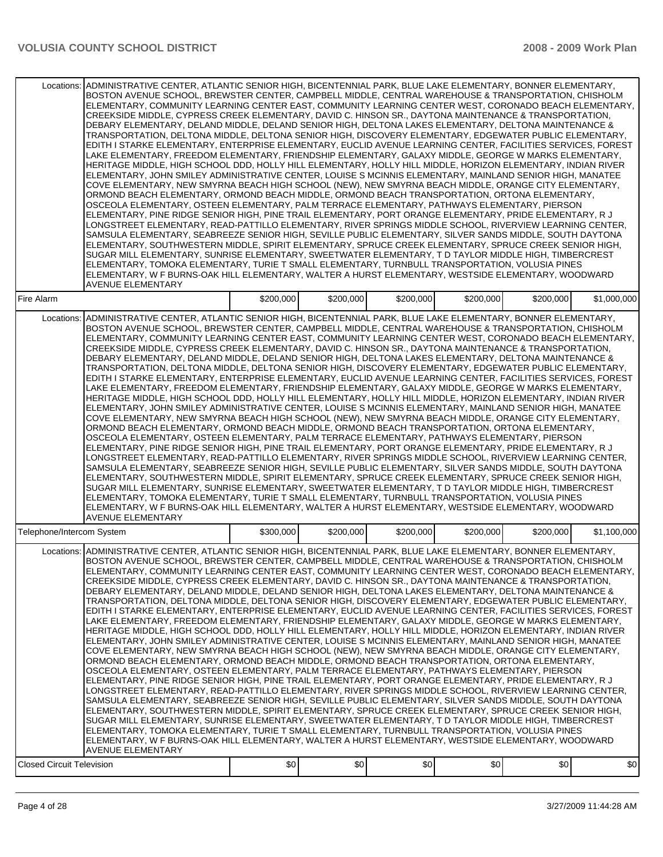| Locations:                       | ADMINISTRATIVE CENTER, ATLANTIC SENIOR HIGH, BICENTENNIAL PARK, BLUE LAKE ELEMENTARY, BONNER ELEMENTARY,<br>BOSTON AVENUE SCHOOL, BREWSTER CENTER, CAMPBELL MIDDLE, CENTRAL WAREHOUSE & TRANSPORTATION, CHISHOLM<br>ELEMENTARY, COMMUNITY LEARNING CENTER EAST, COMMUNITY LEARNING CENTER WEST, CORONADO BEACH ELEMENTARY,<br>CREEKSIDE MIDDLE, CYPRESS CREEK ELEMENTARY, DAVID C. HINSON SR., DAYTONA MAINTENANCE & TRANSPORTATION,<br>DEBARY ELEMENTARY, DELAND MIDDLE, DELAND SENIOR HIGH, DELTONA LAKES ELEMENTARY, DELTONA MAINTENANCE &<br>TRANSPORTATION, DELTONA MIDDLE, DELTONA SENIOR HIGH, DISCOVERY ELEMENTARY, EDGEWATER PUBLIC ELEMENTARY,<br>EDITH I STARKE ELEMENTARY, ENTERPRISE ELEMENTARY, EUCLID AVENUE LEARNING CENTER, FACILITIES SERVICES, FOREST<br>LAKE ELEMENTARY, FREEDOM ELEMENTARY, FRIENDSHIP ELEMENTARY, GALAXY MIDDLE, GEORGE W MARKS ELEMENTARY,<br>HERITAGE MIDDLE, HIGH SCHOOL DDD, HOLLY HILL ELEMENTARY, HOLLY HILL MIDDLE, HORIZON ELEMENTARY, INDIAN RIVER<br>ELEMENTARY, JOHN SMILEY ADMINISTRATIVE CENTER, LOUISE S MCINNIS ELEMENTARY, MAINLAND SENIOR HIGH, MANATEE<br>COVE ELEMENTARY, NEW SMYRNA BEACH HIGH SCHOOL (NEW), NEW SMYRNA BEACH MIDDLE, ORANGE CITY ELEMENTARY,<br>ORMOND BEACH ELEMENTARY, ORMOND BEACH MIDDLE, ORMOND BEACH TRANSPORTATION, ORTONA ELEMENTARY,<br>OSCEOLA ELEMENTARY, OSTEEN ELEMENTARY, PALM TERRACE ELEMENTARY, PATHWAYS ELEMENTARY, PIERSON<br>ELEMENTARY, PINE RIDGE SENIOR HIGH, PINE TRAIL ELEMENTARY, PORT ORANGE ELEMENTARY, PRIDE ELEMENTARY, R J<br>LONGSTREET ELEMENTARY, READ-PATTILLO ELEMENTARY, RIVER SPRINGS MIDDLE SCHOOL, RIVERVIEW LEARNING CENTER,<br>SAMSULA ELEMENTARY, SEABREEZE SENIOR HIGH, SEVILLE PUBLIC ELEMENTARY, SILVER SANDS MIDDLE, SOUTH DAYTONA<br>ELEMENTARY, SOUTHWESTERN MIDDLE, SPIRIT ELEMENTARY, SPRUCE CREEK ELEMENTARY, SPRUCE CREEK SENIOR HIGH,<br>SUGAR MILL ELEMENTARY, SUNRISE ELEMENTARY, SWEETWATER ELEMENTARY, T D TAYLOR MIDDLE HIGH, TIMBERCREST<br>ELEMENTARY, TOMOKA ELEMENTARY, TURIE T SMALL ELEMENTARY, TURNBULL TRANSPORTATION, VOLUSIA PINES<br>ELEMENTARY, W F BURNS-OAK HILL ELEMENTARY, WALTER A HURST ELEMENTARY, WESTSIDE ELEMENTARY, WOODWARD<br><b>AVENUE ELEMENTARY</b>              |           |           |           |           |           |             |  |  |
|----------------------------------|------------------------------------------------------------------------------------------------------------------------------------------------------------------------------------------------------------------------------------------------------------------------------------------------------------------------------------------------------------------------------------------------------------------------------------------------------------------------------------------------------------------------------------------------------------------------------------------------------------------------------------------------------------------------------------------------------------------------------------------------------------------------------------------------------------------------------------------------------------------------------------------------------------------------------------------------------------------------------------------------------------------------------------------------------------------------------------------------------------------------------------------------------------------------------------------------------------------------------------------------------------------------------------------------------------------------------------------------------------------------------------------------------------------------------------------------------------------------------------------------------------------------------------------------------------------------------------------------------------------------------------------------------------------------------------------------------------------------------------------------------------------------------------------------------------------------------------------------------------------------------------------------------------------------------------------------------------------------------------------------------------------------------------------------------------------------------------------------------------------------------------------------------------------------------------------------------------------------------------|-----------|-----------|-----------|-----------|-----------|-------------|--|--|
| Fire Alarm                       |                                                                                                                                                                                                                                                                                                                                                                                                                                                                                                                                                                                                                                                                                                                                                                                                                                                                                                                                                                                                                                                                                                                                                                                                                                                                                                                                                                                                                                                                                                                                                                                                                                                                                                                                                                                                                                                                                                                                                                                                                                                                                                                                                                                                                                    | \$200,000 | \$200,000 | \$200,000 | \$200,000 | \$200,000 | \$1,000,000 |  |  |
| Locations:                       | ADMINISTRATIVE CENTER, ATLANTIC SENIOR HIGH, BICENTENNIAL PARK, BLUE LAKE ELEMENTARY, BONNER ELEMENTARY,<br>BOSTON AVENUE SCHOOL, BREWSTER CENTER, CAMPBELL MIDDLE, CENTRAL WAREHOUSE & TRANSPORTATION, CHISHOLM<br>ELEMENTARY, COMMUNITY LEARNING CENTER EAST, COMMUNITY LEARNING CENTER WEST, CORONADO BEACH ELEMENTARY,<br>CREEKSIDE MIDDLE, CYPRESS CREEK ELEMENTARY, DAVID C. HINSON SR., DAYTONA MAINTENANCE & TRANSPORTATION,<br>DEBARY ELEMENTARY, DELAND MIDDLE, DELAND SENIOR HIGH, DELTONA LAKES ELEMENTARY, DELTONA MAINTENANCE &<br>TRANSPORTATION, DELTONA MIDDLE, DELTONA SENIOR HIGH, DISCOVERY ELEMENTARY, EDGEWATER PUBLIC ELEMENTARY,<br>EDITH I STARKE ELEMENTARY, ENTERPRISE ELEMENTARY, EUCLID AVENUE LEARNING CENTER, FACILITIES SERVICES, FOREST<br>LAKE ELEMENTARY, FREEDOM ELEMENTARY, FRIENDSHIP ELEMENTARY, GALAXY MIDDLE, GEORGE W MARKS ELEMENTARY,<br>HERITAGE MIDDLE, HIGH SCHOOL DDD, HOLLY HILL ELEMENTARY, HOLLY HILL MIDDLE, HORIZON ELEMENTARY, INDIAN RIVER<br>ELEMENTARY, JOHN SMILEY ADMINISTRATIVE CENTER, LOUISE S MCINNIS ELEMENTARY, MAINLAND SENIOR HIGH, MANATEE<br>COVE ELEMENTARY, NEW SMYRNA BEACH HIGH SCHOOL (NEW), NEW SMYRNA BEACH MIDDLE, ORANGE CITY ELEMENTARY,<br>ORMOND BEACH ELEMENTARY, ORMOND BEACH MIDDLE, ORMOND BEACH TRANSPORTATION, ORTONA ELEMENTARY,<br>OSCEOLA ELEMENTARY, OSTEEN ELEMENTARY, PALM TERRACE ELEMENTARY, PATHWAYS ELEMENTARY, PIERSON<br>ELEMENTARY, PINE RIDGE SENIOR HIGH, PINE TRAIL ELEMENTARY, PORT ORANGE ELEMENTARY, PRIDE ELEMENTARY, R J<br>LONGSTREET ELEMENTARY, READ-PATTILLO ELEMENTARY, RIVER SPRINGS MIDDLE SCHOOL, RIVERVIEW LEARNING CENTER,<br>SAMSULA ELEMENTARY, SEABREEZE SENIOR HIGH, SEVILLE PUBLIC ELEMENTARY, SILVER SANDS MIDDLE, SOUTH DAYTONA<br>ELEMENTARY, SOUTHWESTERN MIDDLE, SPIRIT ELEMENTARY, SPRUCE CREEK ELEMENTARY, SPRUCE CREEK SENIOR HIGH,<br>SUGAR MILL ELEMENTARY, SUNRISE ELEMENTARY, SWEETWATER ELEMENTARY, T D TAYLOR MIDDLE HIGH, TIMBERCREST<br>ELEMENTARY, TOMOKA ELEMENTARY, TURIE T SMALL ELEMENTARY, TURNBULL TRANSPORTATION, VOLUSIA PINES<br>ELEMENTARY, W F BURNS-OAK HILL ELEMENTARY, WALTER A HURST ELEMENTARY, WESTSIDE ELEMENTARY, WOODWARD<br><b>AVENUE ELEMENTARY</b>              |           |           |           |           |           |             |  |  |
| Telephone/Intercom System        |                                                                                                                                                                                                                                                                                                                                                                                                                                                                                                                                                                                                                                                                                                                                                                                                                                                                                                                                                                                                                                                                                                                                                                                                                                                                                                                                                                                                                                                                                                                                                                                                                                                                                                                                                                                                                                                                                                                                                                                                                                                                                                                                                                                                                                    | \$300,000 | \$200,000 | \$200.000 | \$200,000 | \$200,000 | \$1.100.000 |  |  |
|                                  | Locations: ADMINISTRATIVE CENTER, ATLANTIC SENIOR HIGH, BICENTENNIAL PARK, BLUE LAKE ELEMENTARY, BONNER ELEMENTARY,<br>BOSTON AVENUE SCHOOL, BREWSTER CENTER, CAMPBELL MIDDLE, CENTRAL WAREHOUSE & TRANSPORTATION, CHISHOLM<br>ELEMENTARY, COMMUNITY LEARNING CENTER EAST, COMMUNITY LEARNING CENTER WEST, CORONADO BEACH ELEMENTARY,  <br>CREEKSIDE MIDDLE, CYPRESS CREEK ELEMENTARY, DAVID C. HINSON SR., DAYTONA MAINTENANCE & TRANSPORTATION,<br>DEBARY ELEMENTARY, DELAND MIDDLE, DELAND SENIOR HIGH, DELTONA LAKES ELEMENTARY, DELTONA MAINTENANCE &<br>TRANSPORTATION, DELTONA MIDDLE, DELTONA SENIOR HIGH, DISCOVERY ELEMENTARY, EDGEWATER PUBLIC ELEMENTARY,<br>EDITH I STARKE ELEMENTARY, ENTERPRISE ELEMENTARY, EUCLID AVENUE LEARNING CENTER, FACILITIES SERVICES, FOREST<br>LAKE ELEMENTARY, FREEDOM ELEMENTARY, FRIENDSHIP ELEMENTARY, GALAXY MIDDLE, GEORGE W MARKS ELEMENTARY,<br>HERITAGE MIDDLE, HIGH SCHOOL DDD, HOLLY HILL ELEMENTARY, HOLLY HILL MIDDLE, HORIZON ELEMENTARY, INDIAN RIVER<br>ELEMENTARY, JOHN SMILEY ADMINISTRATIVE CENTER, LOUISE S MCINNIS ELEMENTARY, MAINLAND SENIOR HIGH, MANATEE<br>COVE ELEMENTARY, NEW SMYRNA BEACH HIGH SCHOOL (NEW), NEW SMYRNA BEACH MIDDLE, ORANGE CITY ELEMENTARY,<br>ORMOND BEACH ELEMENTARY, ORMOND BEACH MIDDLE, ORMOND BEACH TRANSPORTATION, ORTONA ELEMENTARY,<br>OSCEOLA ELEMENTARY, OSTEEN ELEMENTARY, PALM TERRACE ELEMENTARY, PATHWAYS ELEMENTARY, PIERSON<br>ELEMENTARY, PINE RIDGE SENIOR HIGH, PINE TRAIL ELEMENTARY, PORT ORANGE ELEMENTARY, PRIDE ELEMENTARY, R J<br>LONGSTREET ELEMENTARY, READ-PATTILLO ELEMENTARY, RIVER SPRINGS MIDDLE SCHOOL, RIVERVIEW LEARNING CENTER,<br>SAMSULA ELEMENTARY, SEABREEZE SENIOR HIGH, SEVILLE PUBLIC ELEMENTARY, SILVER SANDS MIDDLE, SOUTH DAYTONA<br>ELEMENTARY, SOUTHWESTERN MIDDLE, SPIRIT ELEMENTARY, SPRUCE CREEK ELEMENTARY, SPRUCE CREEK SENIOR HIGH,<br>SUGAR MILL ELEMENTARY, SUNRISE ELEMENTARY, SWEETWATER ELEMENTARY, T D TAYLOR MIDDLE HIGH, TIMBERCREST<br>ELEMENTARY, TOMOKA ELEMENTARY, TURIE T SMALL ELEMENTARY, TURNBULL TRANSPORTATION, VOLUSIA PINES<br>ELEMENTARY, W F BURNS-OAK HILL ELEMENTARY, WALTER A HURST ELEMENTARY, WESTSIDE ELEMENTARY, WOODWARD<br><b>AVENUE ELEMENTARY</b> |           |           |           |           |           |             |  |  |
| <b>Closed Circuit Television</b> |                                                                                                                                                                                                                                                                                                                                                                                                                                                                                                                                                                                                                                                                                                                                                                                                                                                                                                                                                                                                                                                                                                                                                                                                                                                                                                                                                                                                                                                                                                                                                                                                                                                                                                                                                                                                                                                                                                                                                                                                                                                                                                                                                                                                                                    | \$0       | \$0       | \$0       | \$0       | \$0       | \$0         |  |  |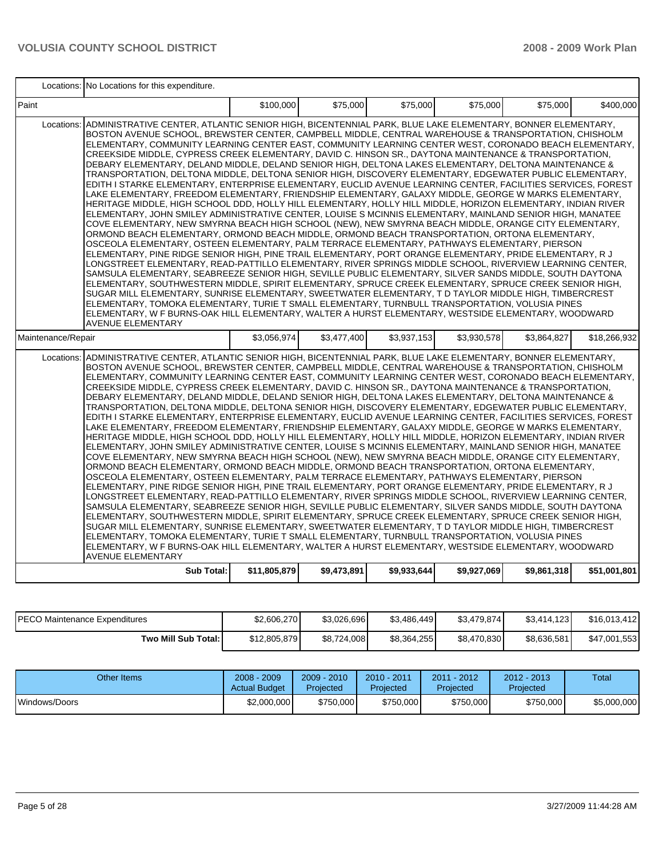|                    | Locations: No Locations for this expenditure.                                                                                                                                                                                                                                                                                                                                                                                                                                                                                                                                                                                                                                                                                                                                                                                                                                                                                                                                                                                                                                                                                                                                                                                                                                                                                                                                                                                                                                                                                                                                                                                                                                                                                                                                                                                                                                                                                                                                                                                                                                                                                                                                                                                    |              |             |             |             |             |              |  |  |
|--------------------|----------------------------------------------------------------------------------------------------------------------------------------------------------------------------------------------------------------------------------------------------------------------------------------------------------------------------------------------------------------------------------------------------------------------------------------------------------------------------------------------------------------------------------------------------------------------------------------------------------------------------------------------------------------------------------------------------------------------------------------------------------------------------------------------------------------------------------------------------------------------------------------------------------------------------------------------------------------------------------------------------------------------------------------------------------------------------------------------------------------------------------------------------------------------------------------------------------------------------------------------------------------------------------------------------------------------------------------------------------------------------------------------------------------------------------------------------------------------------------------------------------------------------------------------------------------------------------------------------------------------------------------------------------------------------------------------------------------------------------------------------------------------------------------------------------------------------------------------------------------------------------------------------------------------------------------------------------------------------------------------------------------------------------------------------------------------------------------------------------------------------------------------------------------------------------------------------------------------------------|--------------|-------------|-------------|-------------|-------------|--------------|--|--|
| l Paint            |                                                                                                                                                                                                                                                                                                                                                                                                                                                                                                                                                                                                                                                                                                                                                                                                                                                                                                                                                                                                                                                                                                                                                                                                                                                                                                                                                                                                                                                                                                                                                                                                                                                                                                                                                                                                                                                                                                                                                                                                                                                                                                                                                                                                                                  | \$100,000    | \$75,000    | \$75,000    | \$75,000    | \$75,000    | \$400.000    |  |  |
|                    | Locations: ADMINISTRATIVE CENTER, ATLANTIC SENIOR HIGH, BICENTENNIAL PARK, BLUE LAKE ELEMENTARY, BONNER ELEMENTARY,<br>BOSTON AVENUE SCHOOL, BREWSTER CENTER, CAMPBELL MIDDLE, CENTRAL WAREHOUSE & TRANSPORTATION, CHISHOLM<br>ELEMENTARY, COMMUNITY LEARNING CENTER EAST, COMMUNITY LEARNING CENTER WEST, CORONADO BEACH ELEMENTARY,<br>CREEKSIDE MIDDLE, CYPRESS CREEK ELEMENTARY, DAVID C. HINSON SR., DAYTONA MAINTENANCE & TRANSPORTATION,<br>DEBARY ELEMENTARY, DELAND MIDDLE, DELAND SENIOR HIGH, DELTONA LAKES ELEMENTARY, DELTONA MAINTENANCE &<br>TRANSPORTATION, DELTONA MIDDLE, DELTONA SENIOR HIGH, DISCOVERY ELEMENTARY, EDGEWATER PUBLIC ELEMENTARY,<br>EDITH I STARKE ELEMENTARY, ENTERPRISE ELEMENTARY, EUCLID AVENUE LEARNING CENTER, FACILITIES SERVICES, FOREST<br>LAKE ELEMENTARY, FREEDOM ELEMENTARY, FRIENDSHIP ELEMENTARY, GALAXY MIDDLE, GEORGE W MARKS ELEMENTARY,<br>HERITAGE MIDDLE, HIGH SCHOOL DDD, HOLLY HILL ELEMENTARY, HOLLY HILL MIDDLE, HORIZON ELEMENTARY, INDIAN RIVER<br>ELEMENTARY, JOHN SMILEY ADMINISTRATIVE CENTER, LOUISE S MCINNIS ELEMENTARY, MAINLAND SENIOR HIGH, MANATEE<br>COVE ELEMENTARY, NEW SMYRNA BEACH HIGH SCHOOL (NEW), NEW SMYRNA BEACH MIDDLE, ORANGE CITY ELEMENTARY,<br>ORMOND BEACH ELEMENTARY, ORMOND BEACH MIDDLE, ORMOND BEACH TRANSPORTATION, ORTONA ELEMENTARY,<br>OSCEOLA ELEMENTARY, OSTEEN ELEMENTARY, PALM TERRACE ELEMENTARY, PATHWAYS ELEMENTARY, PIERSON<br>ELEMENTARY, PINE RIDGE SENIOR HIGH, PINE TRAIL ELEMENTARY, PORT ORANGE ELEMENTARY, PRIDE ELEMENTARY, R J<br>LONGSTREET ELEMENTARY, READ-PATTILLO ELEMENTARY, RIVER SPRINGS MIDDLE SCHOOL, RIVERVIEW LEARNING CENTER,<br>SAMSULA ELEMENTARY, SEABREEZE SENIOR HIGH, SEVILLE PUBLIC ELEMENTARY, SILVER SANDS MIDDLE, SOUTH DAYTONA<br>ELEMENTARY, SOUTHWESTERN MIDDLE, SPIRIT ELEMENTARY, SPRUCE CREEK ELEMENTARY, SPRUCE CREEK SENIOR HIGH,<br>SUGAR MILL ELEMENTARY, SUNRISE ELEMENTARY, SWEETWATER ELEMENTARY, T D TAYLOR MIDDLE HIGH, TIMBERCREST<br>ELEMENTARY, TOMOKA ELEMENTARY, TURIE T SMALL ELEMENTARY, TURNBULL TRANSPORTATION, VOLUSIA PINES<br>ELEMENTARY, W F BURNS-OAK HILL ELEMENTARY, WALTER A HURST ELEMENTARY, WESTSIDE ELEMENTARY, WOODWARD<br><b>AVENUE ELEMENTARY</b> |              |             |             |             |             |              |  |  |
| Maintenance/Repair |                                                                                                                                                                                                                                                                                                                                                                                                                                                                                                                                                                                                                                                                                                                                                                                                                                                                                                                                                                                                                                                                                                                                                                                                                                                                                                                                                                                                                                                                                                                                                                                                                                                                                                                                                                                                                                                                                                                                                                                                                                                                                                                                                                                                                                  | \$3,056,974  | \$3,477,400 | \$3,937,153 | \$3,930,578 | \$3,864,827 | \$18,266,932 |  |  |
|                    | Locations: ADMINISTRATIVE CENTER, ATLANTIC SENIOR HIGH, BICENTENNIAL PARK, BLUE LAKE ELEMENTARY, BONNER ELEMENTARY,<br>BOSTON AVENUE SCHOOL, BREWSTER CENTER, CAMPBELL MIDDLE, CENTRAL WAREHOUSE & TRANSPORTATION, CHISHOLM<br>ELEMENTARY, COMMUNITY LEARNING CENTER EAST, COMMUNITY LEARNING CENTER WEST, CORONADO BEACH ELEMENTARY,<br>CREEKSIDE MIDDLE, CYPRESS CREEK ELEMENTARY, DAVID C. HINSON SR., DAYTONA MAINTENANCE & TRANSPORTATION,<br>DEBARY ELEMENTARY, DELAND MIDDLE, DELAND SENIOR HIGH, DELTONA LAKES ELEMENTARY, DELTONA MAINTENANCE &<br>TRANSPORTATION, DELTONA MIDDLE, DELTONA SENIOR HIGH, DISCOVERY ELEMENTARY, EDGEWATER PUBLIC ELEMENTARY,<br>EDITH I STARKE ELEMENTARY, ENTERPRISE ELEMENTARY, EUCLID AVENUE LEARNING CENTER, FACILITIES SERVICES, FOREST<br>LAKE ELEMENTARY, FREEDOM ELEMENTARY, FRIENDSHIP ELEMENTARY, GALAXY MIDDLE, GEORGE W MARKS ELEMENTARY,<br>HERITAGE MIDDLE, HIGH SCHOOL DDD, HOLLY HILL ELEMENTARY, HOLLY HILL MIDDLE, HORIZON ELEMENTARY, INDIAN RIVER<br>ELEMENTARY, JOHN SMILEY ADMINISTRATIVE CENTER, LOUISE S MCINNIS ELEMENTARY, MAINLAND SENIOR HIGH, MANATEE<br>COVE ELEMENTARY, NEW SMYRNA BEACH HIGH SCHOOL (NEW), NEW SMYRNA BEACH MIDDLE, ORANGE CITY ELEMENTARY,<br>ORMOND BEACH ELEMENTARY, ORMOND BEACH MIDDLE, ORMOND BEACH TRANSPORTATION, ORTONA ELEMENTARY,<br>OSCEOLA ELEMENTARY, OSTEEN ELEMENTARY, PALM TERRACE ELEMENTARY, PATHWAYS ELEMENTARY, PIERSON<br>ELEMENTARY, PINE RIDGE SENIOR HIGH, PINE TRAIL ELEMENTARY, PORT ORANGE ELEMENTARY, PRIDE ELEMENTARY, R J<br>LONGSTREET ELEMENTARY, READ-PATTILLO ELEMENTARY, RIVER SPRINGS MIDDLE SCHOOL, RIVERVIEW LEARNING CENTER,<br>SAMSULA ELEMENTARY, SEABREEZE SENIOR HIGH, SEVILLE PUBLIC ELEMENTARY, SILVER SANDS MIDDLE, SOUTH DAYTONA<br>ELEMENTARY, SOUTHWESTERN MIDDLE, SPIRIT ELEMENTARY, SPRUCE CREEK ELEMENTARY, SPRUCE CREEK SENIOR HIGH,<br>SUGAR MILL ELEMENTARY, SUNRISE ELEMENTARY, SWEETWATER ELEMENTARY, T D TAYLOR MIDDLE HIGH, TIMBERCREST<br>ELEMENTARY, TOMOKA ELEMENTARY, TURIE T SMALL ELEMENTARY, TURNBULL TRANSPORTATION, VOLUSIA PINES<br>ELEMENTARY, W F BURNS-OAK HILL ELEMENTARY, WALTER A HURST ELEMENTARY, WESTSIDE ELEMENTARY, WOODWARD<br><b>AVENUE ELEMENTARY</b> |              |             |             |             |             |              |  |  |
|                    | Sub Total:                                                                                                                                                                                                                                                                                                                                                                                                                                                                                                                                                                                                                                                                                                                                                                                                                                                                                                                                                                                                                                                                                                                                                                                                                                                                                                                                                                                                                                                                                                                                                                                                                                                                                                                                                                                                                                                                                                                                                                                                                                                                                                                                                                                                                       | \$11,805,879 | \$9,473,891 | \$9,933,644 | \$9,927,069 | \$9,861,318 | \$51,001,801 |  |  |

| <b>PECO Maintenance Expenditures</b> | \$2,606,270  | \$3.026.696 | \$3,486,449 | \$3,479,874] | \$3,414,123 | \$16,013,412 |
|--------------------------------------|--------------|-------------|-------------|--------------|-------------|--------------|
| Two Mill Sub Total:                  | \$12,805,879 | \$8,724,008 | \$8,364,255 | \$8,470,830  | \$8,636,581 | \$47,001,553 |

| Other Items   | $2008 - 2009$<br><b>Actual Budget</b> | $2009 - 2010$<br>Projected | 2010 - 2011<br><b>Projected</b> | 2011 - 2012<br><b>Projected</b> | $2012 - 2013$<br>Projected | Total       |
|---------------|---------------------------------------|----------------------------|---------------------------------|---------------------------------|----------------------------|-------------|
| Windows/Doors | \$2,000,000                           | \$750,000                  | \$750,000                       | \$750,000                       | \$750,000                  | \$5,000,000 |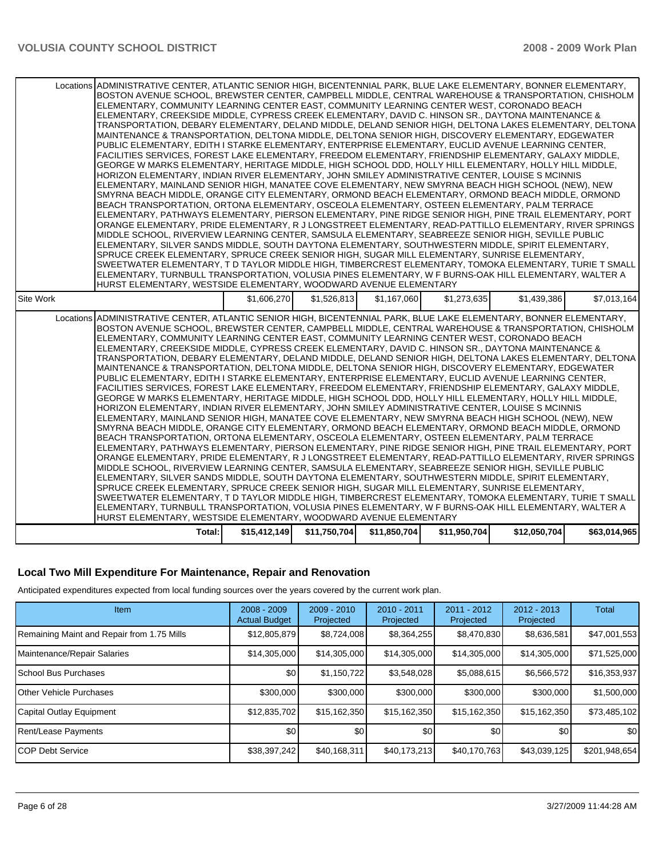#### **Local Two Mill Expenditure For Maintenance, Repair and Renovation**

Anticipated expenditures expected from local funding sources over the years covered by the current work plan.

| <b>Item</b>                                | $2008 - 2009$<br><b>Actual Budget</b> | $2009 - 2010$<br>Projected | 2010 - 2011<br>Projected | $2011 - 2012$<br>Projected | $2012 - 2013$<br>Projected | Total            |
|--------------------------------------------|---------------------------------------|----------------------------|--------------------------|----------------------------|----------------------------|------------------|
| Remaining Maint and Repair from 1.75 Mills | \$12,805,879                          | \$8,724,008                | \$8,364,255              | \$8,470,830                | \$8,636,581                | \$47,001,553     |
| Maintenance/Repair Salaries                | \$14,305,000                          | \$14,305,000               | \$14,305,000             | \$14,305,000               | \$14,305,000               | \$71,525,000     |
| School Bus Purchases                       | \$0                                   | \$1,150,722                | \$3,548,028              | \$5,088,615                | \$6,566,572                | \$16,353,937     |
| <b>Other Vehicle Purchases</b>             | \$300,000                             | \$300,000                  | \$300,000                | \$300,000                  | \$300,000                  | \$1,500,000      |
| Capital Outlay Equipment                   | \$12,835,702                          | \$15,162,350               | \$15,162,350             | \$15,162,350               | \$15,162,350               | \$73,485,102     |
| Rent/Lease Payments                        | \$0 <sub>1</sub>                      | \$0                        | \$0                      | \$0                        | \$0                        | \$0 <sub>1</sub> |
| <b>ICOP Debt Service</b>                   | \$38,397,242                          | \$40,168,311               | \$40,173,213             | \$40,170,763               | \$43,039,125               | \$201,948,654    |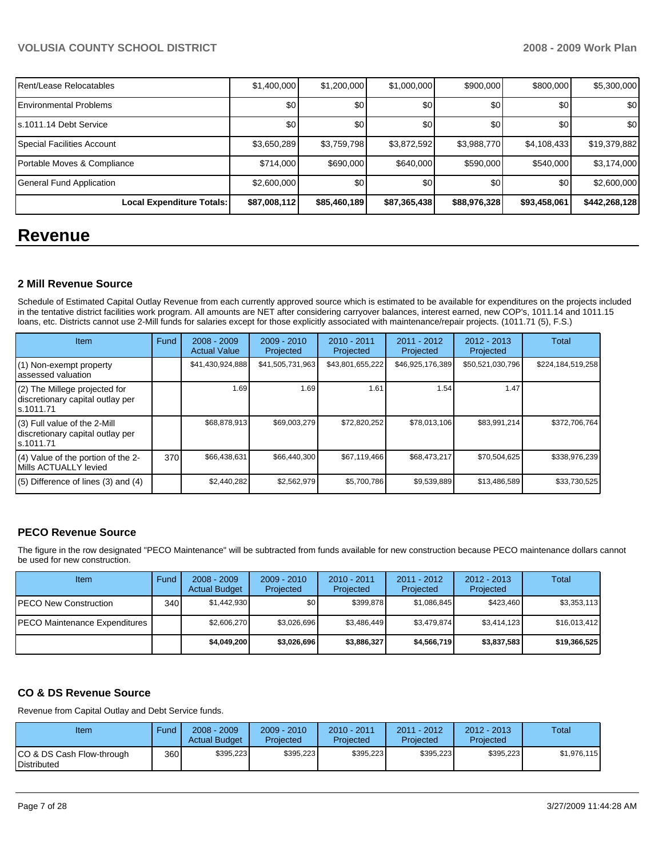| Rent/Lease Relocatables       | \$1,400,000  | \$1,200,000  | \$1,000,000  | \$900,000    | \$800,000    | \$5,300,000   |
|-------------------------------|--------------|--------------|--------------|--------------|--------------|---------------|
| <b>Environmental Problems</b> | \$0          | \$0          | \$0          | \$0          | \$0          | \$0           |
| ls.1011.14 Debt Service       | \$0          | \$0          | \$0          | \$0          | \$0          | \$0           |
| Special Facilities Account    | \$3,650,289  | \$3,759,798  | \$3,872,592  | \$3,988,770  | \$4,108,433  | \$19,379,882  |
| Portable Moves & Compliance   | \$714,000    | \$690,000    | \$640,000    | \$590,000    | \$540,000    | \$3,174,000   |
| General Fund Application      | \$2,600,000  | \$0          | \$0          | \$0          | \$0          | \$2,600,000   |
| Local Expenditure Totals:     | \$87,008,112 | \$85,460,189 | \$87,365,438 | \$88,976,328 | \$93,458,061 | \$442,268,128 |

## **Revenue**

#### **2 Mill Revenue Source**

Schedule of Estimated Capital Outlay Revenue from each currently approved source which is estimated to be available for expenditures on the projects included in the tentative district facilities work program. All amounts are NET after considering carryover balances, interest earned, new COP's, 1011.14 and 1011.15 loans, etc. Districts cannot use 2-Mill funds for salaries except for those explicitly associated with maintenance/repair projects. (1011.71 (5), F.S.)

| Item                                                                            | Fund | $2008 - 2009$<br><b>Actual Value</b> | $2009 - 2010$<br>Projected | $2010 - 2011$<br>Projected | 2011 - 2012<br>Projected | $2012 - 2013$<br>Projected | Total             |
|---------------------------------------------------------------------------------|------|--------------------------------------|----------------------------|----------------------------|--------------------------|----------------------------|-------------------|
| (1) Non-exempt property<br>assessed valuation                                   |      | \$41,430,924,888                     | \$41,505,731,963           | \$43,801,655,222           | \$46,925,176,389         | \$50,521,030,796           | \$224,184,519,258 |
| (2) The Millege projected for<br>discretionary capital outlay per<br>ls.1011.71 |      | 1.69                                 | 1.69 <sup>°</sup>          | 1.61                       | 1.54                     | 1.47                       |                   |
| (3) Full value of the 2-Mill<br>discretionary capital outlay per<br>ls.1011.71  |      | \$68,878,913                         | \$69,003,279               | \$72,820,252               | \$78,013,106             | \$83,991,214               | \$372,706,764     |
| (4) Value of the portion of the 2-<br>Mills ACTUALLY levied                     | 370  | \$66,438,631                         | \$66,440,300               | \$67,119,466               | \$68,473,217             | \$70,504,625               | \$338,976,239     |
| $(5)$ Difference of lines $(3)$ and $(4)$                                       |      | \$2,440,282                          | \$2,562,979                | \$5,700,786                | \$9,539,889              | \$13,486,589               | \$33,730,525      |

## **PECO Revenue Source**

The figure in the row designated "PECO Maintenance" will be subtracted from funds available for new construction because PECO maintenance dollars cannot be used for new construction.

| Item                                 | Fund | $2008 - 2009$<br><b>Actual Budget</b> | $2009 - 2010$<br>Projected | $2010 - 2011$<br>Projected | $2011 - 2012$<br>Projected | $2012 - 2013$<br>Projected | Total        |
|--------------------------------------|------|---------------------------------------|----------------------------|----------------------------|----------------------------|----------------------------|--------------|
| <b>IPECO New Construction</b>        | 340  | \$1,442,930                           | \$٥١                       | \$399.878                  | \$1,086,845                | \$423.460                  | \$3,353,113  |
| <b>PECO Maintenance Expenditures</b> |      | \$2,606,270                           | \$3,026,696                | \$3,486,449                | \$3,479,874                | \$3,414,123                | \$16,013,412 |
|                                      |      | \$4,049,200                           | \$3,026,696                | \$3,886,327                | \$4,566,719                | \$3,837,583                | \$19,366,525 |

#### **CO & DS Revenue Source**

Revenue from Capital Outlay and Debt Service funds.

| Item                                      | Fund  | $2008 - 2009$<br><b>Actual Budget</b> | $2009 - 2010$<br>Projected | $2010 - 2011$<br>Projected | 2011 - 2012<br>Projected | $2012 - 2013$<br>Projected | Total       |
|-------------------------------------------|-------|---------------------------------------|----------------------------|----------------------------|--------------------------|----------------------------|-------------|
| ICO & DS Cash Flow-through<br>Distributed | 360 I | \$395.223                             | \$395.223                  | \$395,223                  | \$395.223                | \$395,223                  | \$1.976.115 |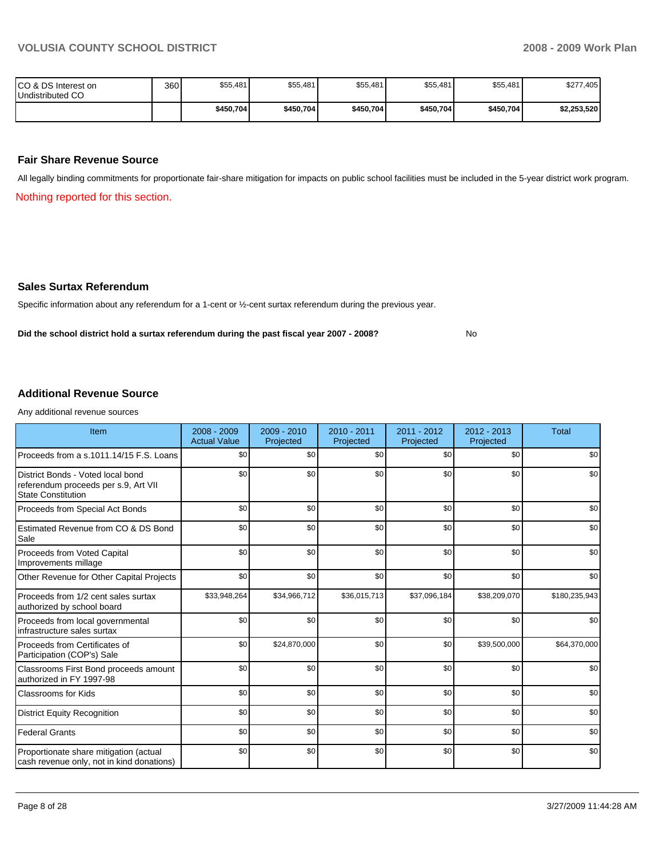| ICO & DS Interest on<br>Undistributed CO | 360 | \$55,481  | \$55,481  | \$55,481  | \$55,481  | \$55,481  | \$277,405   |
|------------------------------------------|-----|-----------|-----------|-----------|-----------|-----------|-------------|
|                                          |     | \$450,704 | \$450,704 | \$450,704 | \$450,704 | \$450,704 | \$2,253,520 |

#### **Fair Share Revenue Source**

All legally binding commitments for proportionate fair-share mitigation for impacts on public school facilities must be included in the 5-year district work program.

Nothing reported for this section.

#### **Sales Surtax Referendum**

Specific information about any referendum for a 1-cent or ½-cent surtax referendum during the previous year.

Did the school district hold a surtax referendum during the past fiscal year 2007 - 2008? No

### **Additional Revenue Source**

Any additional revenue sources

| Item                                                                                                   | $2008 - 2009$<br><b>Actual Value</b> | 2009 - 2010<br>Projected | $2010 - 2011$<br>Projected | 2011 - 2012<br>Projected | $2012 - 2013$<br>Projected | <b>Total</b>  |
|--------------------------------------------------------------------------------------------------------|--------------------------------------|--------------------------|----------------------------|--------------------------|----------------------------|---------------|
| Proceeds from a s.1011.14/15 F.S. Loans                                                                | \$0                                  | \$0                      | \$0                        | \$0                      | \$0                        | \$0           |
| District Bonds - Voted local bond<br>referendum proceeds per s.9, Art VII<br><b>State Constitution</b> | \$0                                  | \$0                      | \$0                        | \$0                      | \$0                        | \$0           |
| Proceeds from Special Act Bonds                                                                        | \$0                                  | \$0                      | \$0                        | \$0                      | \$0                        | \$0           |
| Estimated Revenue from CO & DS Bond<br>Sale                                                            | \$0                                  | \$0                      | \$0                        | \$0                      | \$0                        | \$0           |
| Proceeds from Voted Capital<br>Improvements millage                                                    | \$0                                  | \$0                      | \$0                        | \$0                      | \$0                        | \$0           |
| Other Revenue for Other Capital Projects                                                               | \$0                                  | \$0                      | \$0                        | \$0                      | \$0                        | \$0           |
| Proceeds from 1/2 cent sales surtax<br>authorized by school board                                      | \$33,948,264                         | \$34,966,712             | \$36,015,713               | \$37,096,184             | \$38,209,070               | \$180,235,943 |
| Proceeds from local governmental<br>infrastructure sales surtax                                        | \$0                                  | \$0                      | \$0                        | \$0                      | \$0                        | \$0           |
| Proceeds from Certificates of<br>Participation (COP's) Sale                                            | \$0                                  | \$24,870,000             | \$0                        | \$0                      | \$39,500,000               | \$64,370,000  |
| Classrooms First Bond proceeds amount<br>authorized in FY 1997-98                                      | \$0                                  | \$0                      | \$0                        | \$0                      | \$0                        | \$0           |
| <b>Classrooms for Kids</b>                                                                             | \$0                                  | \$0                      | \$0                        | \$0                      | \$0                        | \$0           |
| <b>District Equity Recognition</b>                                                                     | \$0                                  | \$0                      | \$0                        | \$0                      | \$0                        | \$0           |
| <b>Federal Grants</b>                                                                                  | \$0                                  | \$0                      | \$0                        | \$0                      | \$0                        | \$0           |
| Proportionate share mitigation (actual<br>cash revenue only, not in kind donations)                    | \$0                                  | \$0                      | \$0                        | \$0                      | \$0                        | \$0           |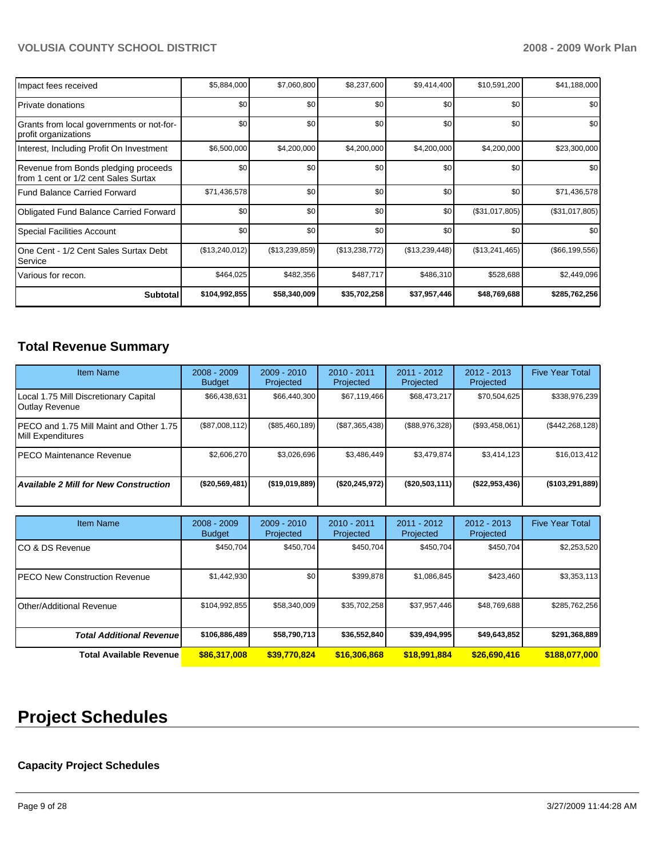| Impact fees received                                                         | \$5,884,000    | \$7,060,800      | \$8,237,600    | \$9,414,400    | \$10,591,200   | \$41,188,000     |
|------------------------------------------------------------------------------|----------------|------------------|----------------|----------------|----------------|------------------|
| l Private donations                                                          | \$0            | \$0 <sub>1</sub> | \$0            | \$0            | \$0            | \$0              |
| Grants from local governments or not-for-<br>profit organizations            | \$0            | \$0 <sub>1</sub> | \$0            | \$0            | \$0            | \$0 <sub>1</sub> |
| Interest, Including Profit On Investment                                     | \$6,500,000    | \$4,200,000      | \$4,200,000    | \$4,200,000    | \$4,200,000    | \$23,300,000     |
| Revenue from Bonds pledging proceeds<br>from 1 cent or 1/2 cent Sales Surtax | \$0            | \$0 <sub>1</sub> | \$0            | \$0            | \$0            | \$0 <sub>1</sub> |
| l Fund Balance Carried Forward                                               | \$71,436,578   | \$0              | \$0            | \$0            | \$0            | \$71,436,578     |
| <b>Obligated Fund Balance Carried Forward</b>                                | \$0            | \$0              | \$0            | \$0            | (\$31,017,805) | (\$31,017,805)   |
| Special Facilities Account                                                   | \$0            | \$0              | \$0            | \$0            | \$0            | \$0              |
| One Cent - 1/2 Cent Sales Surtax Debt<br>Service                             | (\$13,240,012) | (\$13,239,859)   | (\$13,238,772) | (\$13,239,448) | (\$13,241,465) | (\$66, 199, 556) |
| Various for recon.                                                           | \$464,025      | \$482,356        | \$487,717      | \$486,310      | \$528,688      | \$2,449,096      |
| <b>Subtotal</b>                                                              | \$104,992,855  | \$58,340,009     | \$35,702,258   | \$37,957,446   | \$48,769,688   | \$285,762,256    |

## **Total Revenue Summary**

| <b>Item Name</b>                                              | $2008 - 2009$<br><b>Budget</b> | $2009 - 2010$<br>Projected | $2010 - 2011$<br>Projected | $2011 - 2012$<br>Projected | $2012 - 2013$<br>Projected | <b>Five Year Total</b> |
|---------------------------------------------------------------|--------------------------------|----------------------------|----------------------------|----------------------------|----------------------------|------------------------|
| Local 1.75 Mill Discretionary Capital<br>Outlay Revenue       | \$66,438,631                   | \$66,440,300               | \$67,119,466               | \$68,473,217               | \$70,504,625               | \$338,976,239          |
| IPECO and 1.75 Mill Maint and Other 1.75<br>Mill Expenditures | (\$87,008,112)                 | (\$85,460,189)             | (S87, 365, 438)            | (\$88,976,328)             | (S93, 458, 061)            | (\$442,268,128)        |
| IPECO Maintenance Revenue                                     | \$2,606.270                    | \$3.026.696                | \$3,486,449                | \$3.479.874                | \$3.414.123                | \$16,013,412           |
| <b>Available 2 Mill for New Construction</b>                  | (\$20,569,481)                 | (\$19,019,889)             | (\$20, 245, 972)           | (\$20,503,111)             | $($ \$22,953,436)          | ( \$103, 291, 889)     |

| <b>Item Name</b>                     | $2008 - 2009$<br><b>Budget</b> | $2009 - 2010$<br>Projected | $2010 - 2011$<br>Projected | 2011 - 2012<br>Projected | $2012 - 2013$<br>Projected | <b>Five Year Total</b> |
|--------------------------------------|--------------------------------|----------------------------|----------------------------|--------------------------|----------------------------|------------------------|
| ICO & DS Revenue                     | \$450,704                      | \$450,704                  | \$450.704                  | \$450,704                | \$450,704                  | \$2,253,520            |
| <b>PECO New Construction Revenue</b> | \$1,442,930                    | \$0                        | \$399,878                  | \$1,086,845              | \$423,460                  | \$3,353,113            |
| Other/Additional Revenue             | \$104,992,855                  | \$58,340,009               | \$35,702,258               | \$37,957,446             | \$48,769,688               | \$285,762,256          |
| <b>Total Additional Revenuel</b>     | \$106,886,489                  | \$58,790,713               | \$36,552,840               | \$39,494,995             | \$49,643,852               | \$291,368,889          |
| Total Available Revenue              | \$86,317,008                   | \$39,770,824               | \$16,306,868               | \$18,991,884             | \$26,690,416               | \$188,077,000          |

## **Project Schedules**

### **Capacity Project Schedules**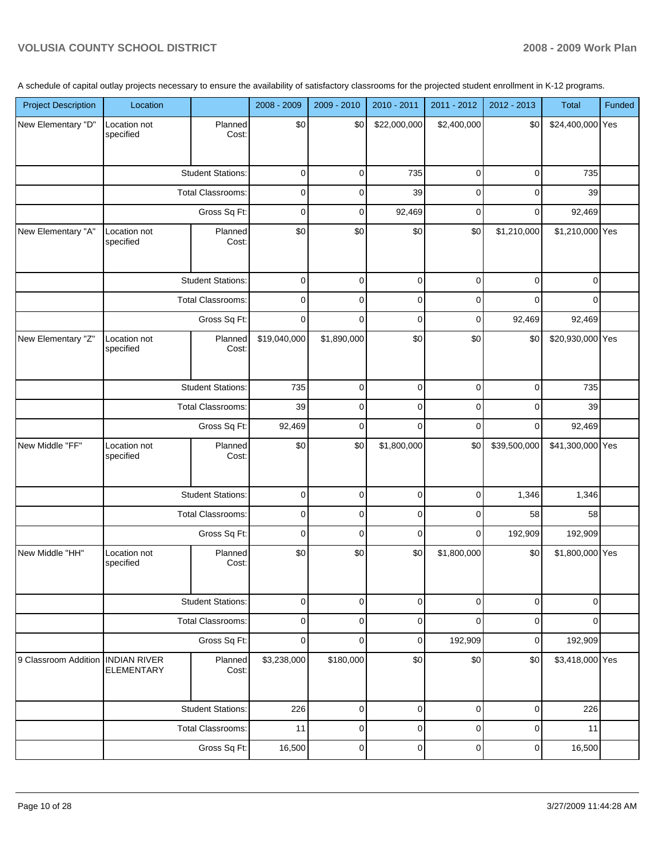A schedule of capital outlay projects necessary to ensure the availability of satisfactory classrooms for the projected student enrollment in K-12 programs.

| <b>Project Description</b> | Location                                 |                          | 2008 - 2009  | 2009 - 2010 | 2010 - 2011  | 2011 - 2012 | 2012 - 2013  | Total            | Funded |
|----------------------------|------------------------------------------|--------------------------|--------------|-------------|--------------|-------------|--------------|------------------|--------|
| New Elementary "D"         | Location not<br>specified                | Planned<br>Cost:         | \$0          | \$0         | \$22,000,000 | \$2,400,000 | \$0          | \$24,400,000 Yes |        |
|                            |                                          |                          |              |             |              |             |              |                  |        |
|                            |                                          | <b>Student Stations:</b> | 0            | $\mathbf 0$ | 735          | 0           | 0            | 735              |        |
|                            |                                          | Total Classrooms:        | 0            | $\mathbf 0$ | 39           | 0           | 0            | 39               |        |
|                            |                                          | Gross Sq Ft:             | $\pmb{0}$    | $\mathbf 0$ | 92,469       | $\mathbf 0$ | $\mathbf 0$  | 92,469           |        |
| New Elementary "A"         | Location not<br>specified                | Planned<br>Cost:         | \$0          | \$0         | \$0          | \$0         | \$1,210,000  | \$1,210,000 Yes  |        |
|                            |                                          | <b>Student Stations:</b> | $\pmb{0}$    | $\mathbf 0$ | $\mathbf 0$  | $\mathbf 0$ | $\mathbf 0$  | $\mathbf{0}$     |        |
|                            |                                          | <b>Total Classrooms:</b> | $\pmb{0}$    | $\mathbf 0$ | $\pmb{0}$    | 0           | $\mathbf 0$  | $\mathbf{0}$     |        |
|                            |                                          | Gross Sq Ft:             | $\mathbf 0$  | $\Omega$    | $\mathbf 0$  | 0           | 92,469       | 92,469           |        |
| New Elementary "Z"         | Location not<br>specified                | Planned<br>Cost:         | \$19,040,000 | \$1,890,000 | \$0          | \$0         | \$0          | \$20,930,000 Yes |        |
|                            |                                          | <b>Student Stations:</b> | 735          | 0           | 0            | 0           | 0            | 735              |        |
|                            |                                          | Total Classrooms:        | 39           | $\mathbf 0$ | 0            | $\mathbf 0$ | 0            | 39               |        |
|                            |                                          | Gross Sq Ft:             | 92,469       | $\mathbf 0$ | $\mathbf 0$  | $\mathbf 0$ | $\mathbf 0$  | 92,469           |        |
| New Middle "FF"            | Location not<br>specified                | Planned<br>Cost:         | \$0          | \$0         | \$1,800,000  | \$0         | \$39,500,000 | \$41,300,000 Yes |        |
|                            |                                          | <b>Student Stations:</b> | $\pmb{0}$    | $\pmb{0}$   | $\pmb{0}$    | 0           | 1,346        | 1,346            |        |
|                            |                                          | <b>Total Classrooms:</b> | 0            | $\mathbf 0$ | $\mathbf 0$  | 0           | 58           | 58               |        |
|                            |                                          | Gross Sq Ft:             | $\pmb{0}$    | $\mathbf 0$ | 0            | $\mathbf 0$ | 192,909      | 192,909          |        |
| New Middle "HH"            | Location not<br>specified                | Planned<br>Cost:         | \$0          | \$0         | \$0          | \$1,800,000 | \$0          | \$1,800,000 Yes  |        |
|                            |                                          | <b>Student Stations:</b> | $\pmb{0}$    | 0           | $\pmb{0}$    | 0           | $\mathbf 0$  | $\mathbf 0$      |        |
|                            |                                          | Total Classrooms:        | $\pmb{0}$    | 0           | 0            | $\mathbf 0$ | $\mathbf 0$  | $\mathbf 0$      |        |
|                            |                                          | Gross Sq Ft:             | $\pmb{0}$    | $\mathbf 0$ | $\pmb{0}$    | 192,909     | $\mathbf 0$  | 192,909          |        |
| 9 Classroom Addition       | <b>INDIAN RIVER</b><br><b>ELEMENTARY</b> | Planned<br>Cost:         | \$3,238,000  | \$180,000   | \$0          | \$0         | \$0          | \$3,418,000 Yes  |        |
|                            |                                          | <b>Student Stations:</b> | 226          | $\pmb{0}$   | $\pmb{0}$    | $\mathbf 0$ | $\mathbf 0$  | 226              |        |
|                            |                                          | Total Classrooms:        | 11           | $\pmb{0}$   | $\pmb{0}$    | $\mathbf 0$ | $\mathbf 0$  | 11               |        |
|                            |                                          | Gross Sq Ft:             | 16,500       | $\pmb{0}$   | $\pmb{0}$    | $\pmb{0}$   | $\pmb{0}$    | 16,500           |        |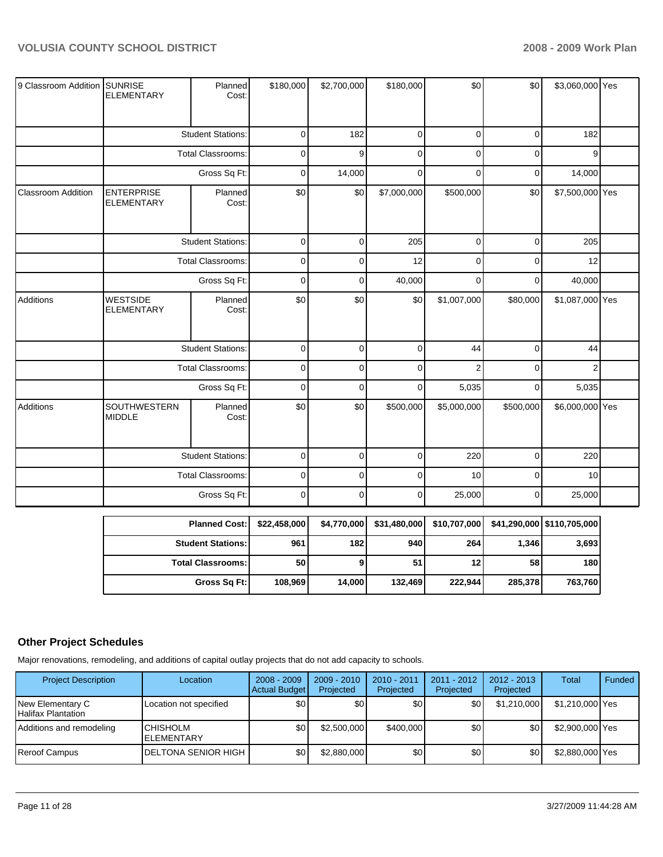| 9 Classroom Addition SUNRISE | <b>ELEMENTARY</b>                      | Planned<br>Cost:           | \$180,000   | \$2,700,000 | \$180,000    | \$0                                                              | \$0          | \$3,060,000 Yes |  |
|------------------------------|----------------------------------------|----------------------------|-------------|-------------|--------------|------------------------------------------------------------------|--------------|-----------------|--|
|                              |                                        | <b>Student Stations:</b>   | 0           | 182         | $\Omega$     | $\Omega$                                                         | $\Omega$     | 182             |  |
|                              | <b>Total Classrooms:</b>               |                            | 0           | 9           | 0            | 0                                                                | 0            | 9               |  |
|                              |                                        |                            |             |             |              |                                                                  |              |                 |  |
|                              |                                        | Gross Sq Ft:               | 0           | 14,000      | 0            | $\Omega$                                                         | 0            | 14,000          |  |
| <b>Classroom Addition</b>    | <b>ENTERPRISE</b><br><b>ELEMENTARY</b> | Planned<br>Cost:           | \$0         | \$0         | \$7,000,000  | \$500,000                                                        | \$0          | \$7,500,000 Yes |  |
|                              |                                        | <b>Student Stations:</b>   | 0           | $\Omega$    | 205          | $\Omega$                                                         | $\Omega$     | 205             |  |
|                              |                                        | <b>Total Classrooms:</b>   | 0           | 0           | 12           | $\Omega$                                                         | 0            | 12              |  |
|                              | Gross Sq Ft:                           |                            | 0           | $\Omega$    | 40,000       | $\Omega$                                                         | 0            | 40,000          |  |
| Additions                    | <b>WESTSIDE</b><br><b>ELEMENTARY</b>   | Planned<br>Cost:           | \$0         | \$0         | \$0          | \$1,007,000                                                      | \$80,000     | \$1,087,000 Yes |  |
|                              |                                        | <b>Student Stations:</b>   | 0           | $\Omega$    | $\Omega$     | 44                                                               | $\Omega$     | 44              |  |
|                              |                                        | <b>Total Classrooms:</b>   | 0           | $\Omega$    | $\Omega$     | $\overline{2}$                                                   | $\Omega$     | 2               |  |
|                              |                                        | Gross Sq Ft:               | 0           | $\Omega$    | $\Omega$     | 5,035                                                            | $\Omega$     | 5,035           |  |
| Additions                    | SOUTHWESTERN<br><b>MIDDLE</b>          | Planned<br>Cost:           | \$0         | \$0         | \$500,000    | \$5,000,000                                                      | \$500,000    | \$6,000,000 Yes |  |
|                              |                                        | <b>Student Stations:</b>   | 0           | $\Omega$    | $\mathbf{0}$ | 220                                                              | $\mathbf{0}$ | 220             |  |
|                              |                                        | Total Classrooms:          | 0           | $\Omega$    | $\Omega$     | 10                                                               | $\Omega$     | 10              |  |
|                              |                                        | Gross Sq Ft:               | $\mathsf 0$ | 0           | 0            | 25,000                                                           | 0            | 25,000          |  |
|                              |                                        | Planned Cost- \$22,458,000 |             |             |              | \$4.770,000 \$31.480,000 \$40.707,000 \$41.290,000 \$110.705,000 |              |                 |  |

| <b>Planned Cost:</b>     | \$22,458,000 | \$4,770,000 | \$31,480,000 |         |         |         |
|--------------------------|--------------|-------------|--------------|---------|---------|---------|
| <b>Student Stations:</b> | 961          | 182         | 940          | 264     | 1,346   | 3,693   |
| <b>Total Classrooms:</b> | 50           |             | 51           | 12      | 58      | 180     |
| Gross Sq Ft:             | 108.969      | 14.000      | 132.469      | 222,944 | 285,378 | 763,760 |

## **Other Project Schedules**

Major renovations, remodeling, and additions of capital outlay projects that do not add capacity to schools.

| <b>Project Description</b>             | Location                              | $2008 - 2009$<br><b>Actual Budget</b> | $2009 - 2010$<br>Projected | 2010 - 2011<br>Projected | $2011 - 2012$<br>Projected | $2012 - 2013$<br>Projected | Total           | Funded |
|----------------------------------------|---------------------------------------|---------------------------------------|----------------------------|--------------------------|----------------------------|----------------------------|-----------------|--------|
| New Elementary C<br>Halifax Plantation | Location not specified                | \$0                                   | \$0                        | \$0                      | \$0 <sub>1</sub>           | \$1,210,000                | \$1,210,000 Yes |        |
| Additions and remodeling               | <b>ICHISHOLM</b><br><b>ELEMENTARY</b> | \$0                                   | \$2,500,000                | \$400,000                | \$0                        | \$0                        | \$2,900,000 Yes |        |
| <b>IReroof Campus</b>                  | <b>IDELTONA SENIOR HIGH</b>           | \$0                                   | \$2,880,000                | \$0                      | \$0                        | \$0                        | \$2,880,000 Yes |        |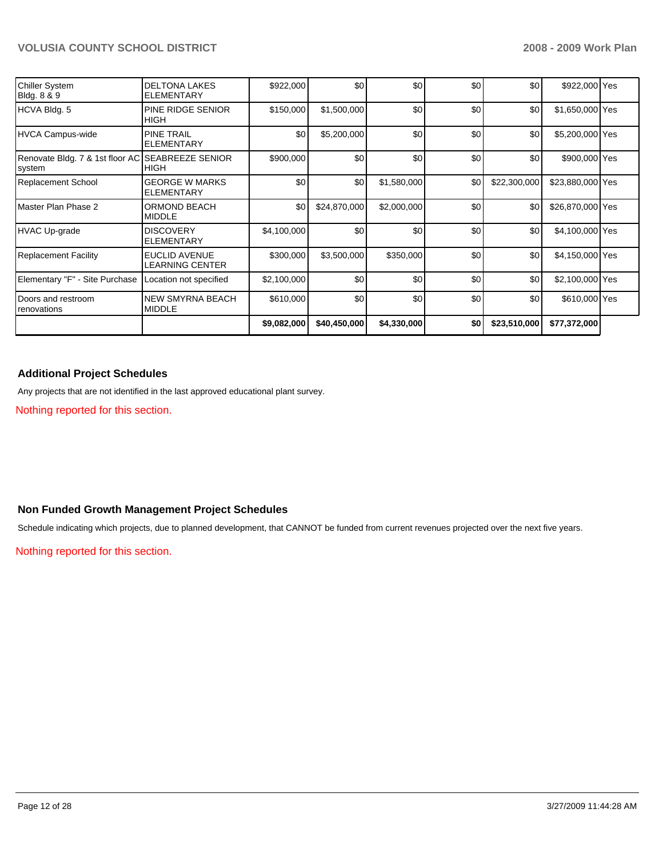| Chiller System<br>Bldg. 8 & 9                | <b>DELTONA LAKES</b><br><b>ELEMENTARY</b>  | \$922,000   | \$0          | \$0         | \$0 | \$0          | \$922,000 Yes    |  |
|----------------------------------------------|--------------------------------------------|-------------|--------------|-------------|-----|--------------|------------------|--|
| HCVA Bldg. 5                                 | PINE RIDGE SENIOR<br>HIGH                  | \$150,000   | \$1,500,000  | \$0         | \$0 | \$0          | \$1,650,000 Yes  |  |
| HVCA Campus-wide                             | <b>PINE TRAIL</b><br><b>ELEMENTARY</b>     | \$0         | \$5,200,000  | \$0         | \$0 | \$0          | \$5,200,000 Yes  |  |
| Renovate Bldg. 7 & 1st floor AC<br> system   | <b>SEABREEZE SENIOR</b><br><b>HIGH</b>     | \$900,000   | \$0          | \$0         | \$0 | \$0          | \$900,000 Yes    |  |
| Replacement School                           | <b>GEORGE W MARKS</b><br><b>ELEMENTARY</b> | \$0         | \$0          | \$1,580,000 | \$0 | \$22,300,000 | \$23,880,000 Yes |  |
| l Master Plan Phase 2                        | <b>ORMOND BEACH</b><br><b>MIDDLE</b>       | \$0         | \$24,870,000 | \$2,000,000 | \$0 | \$0          | \$26,870,000 Yes |  |
| HVAC Up-grade                                | <b>DISCOVERY</b><br><b>ELEMENTARY</b>      | \$4,100,000 | \$0          | \$0         | \$0 | \$0          | \$4,100,000 Yes  |  |
| Replacement Facility                         | EUCLID AVENUE<br>LEARNING CENTER           | \$300,000   | \$3,500,000  | \$350,000   | \$0 | \$0          | \$4,150,000 Yes  |  |
| Elementary "F" - Site Purchase               | Location not specified                     | \$2,100,000 | \$0          | \$0         | \$0 | \$0          | \$2,100,000 Yes  |  |
| <b>I</b> Doors and restroom<br>I renovations | NEW SMYRNA BEACH<br><b>MIDDLE</b>          | \$610,000   | \$0          | \$0         | \$0 | \$0          | \$610,000 Yes    |  |
|                                              |                                            | \$9,082,000 | \$40,450,000 | \$4,330,000 | \$0 | \$23,510,000 | \$77,372,000     |  |

#### **Additional Project Schedules**

Any projects that are not identified in the last approved educational plant survey.

Nothing reported for this section.

## **Non Funded Growth Management Project Schedules**

Schedule indicating which projects, due to planned development, that CANNOT be funded from current revenues projected over the next five years.

Nothing reported for this section.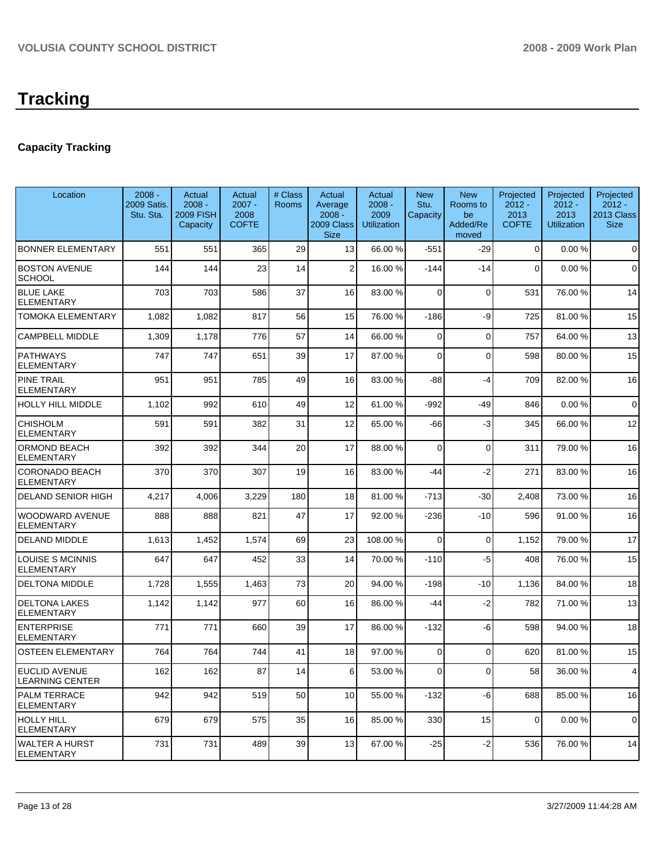## **Capacity Tracking**

| Location                                   | $2008 -$<br>2009 Satis.<br>Stu. Sta. | Actual<br>$2008 -$<br><b>2009 FISH</b><br>Capacity | Actual<br>$2007 -$<br>2008<br><b>COFTE</b> | # Class<br>Rooms | Actual<br>Average<br>$2008 -$<br>2009 Class<br><b>Size</b> | Actual<br>$2008 -$<br>2009<br><b>Utilization</b> | <b>New</b><br>Stu.<br>Capacity | <b>New</b><br>Rooms to<br>be<br>Added/Re<br>moved | Projected<br>$2012 -$<br>2013<br><b>COFTE</b> | Projected<br>$2012 -$<br>2013<br><b>Utilization</b> | Projected<br>$2012 -$<br>2013 Class<br><b>Size</b> |
|--------------------------------------------|--------------------------------------|----------------------------------------------------|--------------------------------------------|------------------|------------------------------------------------------------|--------------------------------------------------|--------------------------------|---------------------------------------------------|-----------------------------------------------|-----------------------------------------------------|----------------------------------------------------|
| <b>BONNER ELEMENTARY</b>                   | 551                                  | 551                                                | 365                                        | 29               | 13                                                         | 66.00 %                                          | $-551$                         | $-29$                                             | $\mathbf{0}$                                  | 0.00%                                               | $\mathbf 0$                                        |
| <b>BOSTON AVENUE</b><br><b>SCHOOL</b>      | 144                                  | 144                                                | 23                                         | 14               | $\overline{2}$                                             | 16.00 %                                          | $-144$                         | $-14$                                             | $\mathbf 0$                                   | 0.00%                                               | $\mathbf 0$                                        |
| <b>BLUE LAKE</b><br><b>ELEMENTARY</b>      | 703                                  | 703                                                | 586                                        | 37               | 16                                                         | 83.00 %                                          | $\Omega$                       | 0                                                 | 531                                           | 76.00 %                                             | 14                                                 |
| TOMOKA ELEMENTARY                          | 1,082                                | 1,082                                              | 817                                        | 56               | 15                                                         | 76.00 %                                          | $-186$                         | -9                                                | 725                                           | 81.00 %                                             | 15                                                 |
| <b>CAMPBELL MIDDLE</b>                     | 1,309                                | 1,178                                              | 776                                        | 57               | 14                                                         | 66.00 %                                          | $\mathbf 0$                    | $\mathbf 0$                                       | 757                                           | 64.00 %                                             | 13                                                 |
| <b>PATHWAYS</b><br><b>ELEMENTARY</b>       | 747                                  | 747                                                | 651                                        | 39               | 17                                                         | 87.00 %                                          | $\Omega$                       | $\Omega$                                          | 598                                           | 80.00 %                                             | 15                                                 |
| <b>PINE TRAIL</b><br>ELEMENTARY            | 951                                  | 951                                                | 785                                        | 49               | 16                                                         | 83.00 %                                          | $-88$                          | $-4$                                              | 709                                           | 82.00 %                                             | 16                                                 |
| HOLLY HILL MIDDLE                          | 1,102                                | 992                                                | 610                                        | 49               | 12                                                         | 61.00%                                           | $-992$                         | $-49$                                             | 846                                           | 0.00%                                               | $\mathbf 0$                                        |
| <b>CHISHOLM</b><br><b>ELEMENTARY</b>       | 591                                  | 591                                                | 382                                        | 31               | 12                                                         | 65.00 %                                          | $-66$                          | $-3$                                              | 345                                           | 66.00 %                                             | 12                                                 |
| ORMOND BEACH<br><b>ELEMENTARY</b>          | 392                                  | 392                                                | 344                                        | 20               | 17                                                         | 88.00 %                                          | $\Omega$                       | $\mathbf 0$                                       | 311                                           | 79.00 %                                             | 16                                                 |
| <b>CORONADO BEACH</b><br><b>ELEMENTARY</b> | 370                                  | 370                                                | 307                                        | 19               | 16                                                         | 83.00 %                                          | $-44$                          | $-2$                                              | 271                                           | 83.00 %                                             | 16                                                 |
| <b>DELAND SENIOR HIGH</b>                  | 4,217                                | 4,006                                              | 3,229                                      | 180              | 18                                                         | 81.00 %                                          | $-713$                         | $-30$                                             | 2,408                                         | 73.00 %                                             | 16                                                 |
| WOODWARD AVENUE<br><b>ELEMENTARY</b>       | 888                                  | 888                                                | 821                                        | 47               | 17                                                         | 92.00 %                                          | $-236$                         | $-10$                                             | 596                                           | 91.00 %                                             | 16                                                 |
| <b>DELAND MIDDLE</b>                       | 1,613                                | 1,452                                              | 1,574                                      | 69               | 23                                                         | 108.00 %                                         | $\Omega$                       | $\mathbf 0$                                       | 1,152                                         | 79.00 %                                             | 17                                                 |
| LOUISE S MCINNIS<br><b>ELEMENTARY</b>      | 647                                  | 647                                                | 452                                        | 33               | 14                                                         | 70.00 %                                          | $-110$                         | -5                                                | 408                                           | 76.00 %                                             | 15                                                 |
| <b>DELTONA MIDDLE</b>                      | 1,728                                | 1,555                                              | 1,463                                      | 73               | 20                                                         | 94.00 %                                          | $-198$                         | $-10$                                             | 1,136                                         | 84.00 %                                             | 18                                                 |
| <b>DELTONA LAKES</b><br><b>ELEMENTARY</b>  | 1,142                                | 1,142                                              | 977                                        | 60               | 16                                                         | 86.00 %                                          | -44                            | -2                                                | 782                                           | 71.00 %                                             | 13                                                 |
| <b>ENTERPRISE</b><br><b>ELEMENTARY</b>     | 771                                  | 771                                                | 660                                        | 39               | 17                                                         | 86.00 %                                          | $-132$                         | -6                                                | 598                                           | 94.00 %                                             | 18                                                 |
| <b>OSTEEN ELEMENTARY</b>                   | 764                                  | 764                                                | 744                                        | 41               | 18                                                         | 97.00 %                                          | $\Omega$                       | $\Omega$                                          | 620                                           | 81.00 %                                             | 15                                                 |
| EUCLID AVENUE<br><b>LEARNING CENTER</b>    | 162                                  | 162                                                | 87                                         | 14               | 6                                                          | 53.00 %                                          | 0                              | $\overline{0}$                                    | 58                                            | 36.00 %                                             | 4                                                  |
| <b>PALM TERRACE</b><br><b>ELEMENTARY</b>   | 942                                  | 942                                                | 519                                        | 50               | 10                                                         | 55.00 %                                          | $-132$                         | -6                                                | 688                                           | 85.00 %                                             | 16                                                 |
| <b>HOLLY HILL</b><br><b>ELEMENTARY</b>     | 679                                  | 679                                                | 575                                        | 35               | 16                                                         | 85.00 %                                          | 330                            | 15                                                | $\mathbf 0$                                   | 0.00%                                               | $\pmb{0}$                                          |
| <b>WALTER A HURST</b><br><b>ELEMENTARY</b> | 731                                  | 731                                                | 489                                        | 39               | 13                                                         | 67.00 %                                          | $-25$                          | $-2$                                              | 536                                           | 76.00 %                                             | 14                                                 |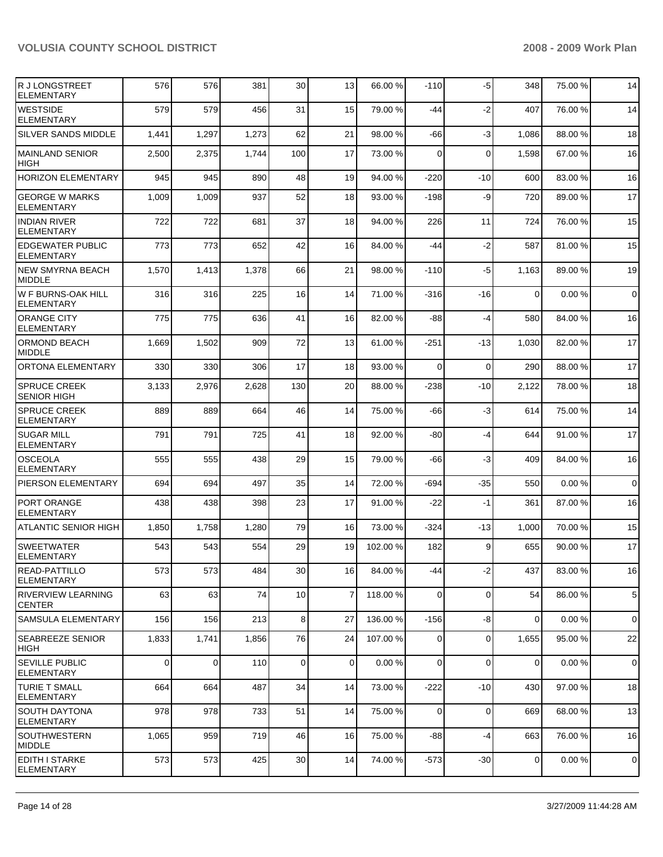| R J LONGSTREET<br><b>ELEMENTARY</b>          | 576   | 576   | 381   | 30          | 13             | 66.00 %  | $-110$         | $-5$        | 348      | 75.00 % | 14          |
|----------------------------------------------|-------|-------|-------|-------------|----------------|----------|----------------|-------------|----------|---------|-------------|
| <b>WESTSIDE</b><br>ELEMENTARY                | 579   | 579   | 456   | 31          | 15             | 79.00 %  | $-44$          | $-2$        | 407      | 76.00 % | 14          |
| <b>SILVER SANDS MIDDLE</b>                   | 1,441 | 1,297 | 1,273 | 62          | 21             | 98.00 %  | -66            | -3          | 1,086    | 88.00 % | 18          |
| <b>MAINLAND SENIOR</b><br><b>HIGH</b>        | 2,500 | 2,375 | 1,744 | 100         | 17             | 73.00 %  | 0              | $\Omega$    | 1,598    | 67.00 % | 16          |
| <b>HORIZON ELEMENTARY</b>                    | 945   | 945   | 890   | 48          | 19             | 94.00%   | $-220$         | $-10$       | 600      | 83.00 % | 16          |
| <b>GEORGE W MARKS</b><br><b>ELEMENTARY</b>   | 1,009 | 1,009 | 937   | 52          | 18             | 93.00 %  | $-198$         | -9          | 720      | 89.00 % | 17          |
| <b>INDIAN RIVER</b><br><b>ELEMENTARY</b>     | 722   | 722   | 681   | 37          | 18             | 94.00 %  | 226            | 11          | 724      | 76.00 % | 15          |
| <b>EDGEWATER PUBLIC</b><br><b>ELEMENTARY</b> | 773   | 773   | 652   | 42          | 16             | 84.00 %  | -44            | $-2$        | 587      | 81.00 % | 15          |
| NEW SMYRNA BEACH<br><b>MIDDLE</b>            | 1,570 | 1,413 | 1,378 | 66          | 21             | 98.00 %  | $-110$         | $-5$        | 1,163    | 89.00 % | 19          |
| W F BURNS-OAK HILL<br><b>ELEMENTARY</b>      | 316   | 316   | 225   | 16          | 14             | 71.00 %  | $-316$         | -16         | $\Omega$ | 0.00%   | $\mathbf 0$ |
| ORANGE CITY<br><b>ELEMENTARY</b>             | 775   | 775   | 636   | 41          | 16             | 82.00 %  | -88            | $-4$        | 580      | 84.00 % | 16          |
| <b>ORMOND BEACH</b><br><b>MIDDLE</b>         | 1,669 | 1,502 | 909   | 72          | 13             | 61.00%   | $-251$         | $-13$       | 1,030    | 82.00 % | 17          |
| <b>ORTONA ELEMENTARY</b>                     | 330   | 330   | 306   | 17          | 18             | 93.00 %  | $\Omega$       | $\Omega$    | 290      | 88.00 % | 17          |
| <b>SPRUCE CREEK</b><br><b>SENIOR HIGH</b>    | 3,133 | 2,976 | 2,628 | 130         | 20             | 88.00 %  | $-238$         | $-10$       | 2,122    | 78.00 % | 18          |
| <b>SPRUCE CREEK</b><br><b>ELEMENTARY</b>     | 889   | 889   | 664   | 46          | 14             | 75.00 %  | -66            | $-3$        | 614      | 75.00 % | 14          |
| <b>SUGAR MILL</b><br><b>ELEMENTARY</b>       | 791   | 791   | 725   | 41          | 18             | 92.00 %  | -80            | $-4$        | 644      | 91.00 % | 17          |
| IOSCEOLA<br>ELEMENTARY                       | 555   | 555   | 438   | 29          | 15             | 79.00 %  | -66            | $-3$        | 409      | 84.00 % | 16          |
| <b>PIERSON ELEMENTARY</b>                    | 694   | 694   | 497   | 35          | 14             | 72.00 %  | $-694$         | $-35$       | 550      | 0.00%   | $\mathbf 0$ |
| PORT ORANGE<br><b>ELEMENTARY</b>             | 438   | 438   | 398   | 23          | 17             | 91.00 %  | $-22$          | $-1$        | 361      | 87.00 % | 16          |
| <b>ATLANTIC SENIOR HIGH</b>                  | 1,850 | 1,758 | 1,280 | 79          | 16             | 73.00 %  | $-324$         | $-13$       | 1,000    | 70.00 % | 15          |
| <b>SWEETWATER</b><br><b>ELEMENTARY</b>       | 543   | 543   | 554   | 29          | 19             | 102.00 % | 182            | 9           | 655      | 90.00 % | 17          |
| <b>READ-PATTILLO</b><br>ELEMENTARY           | 573   | 573   | 484   | 30          | 16             | 84.00 %  | -44            | $-2$        | 437      | 83.00 % | 16          |
| <b>RIVERVIEW LEARNING</b><br><b>CENTER</b>   | 63    | 63    | 74    | 10          | $\overline{7}$ | 118.00 % | $\overline{0}$ | $\mathbf 0$ | 54       | 86.00 % | 5           |
| <b>SAMSULA ELEMENTARY</b>                    | 156   | 156   | 213   | 8           | 27             | 136.00%  | $-156$         | -8          | $\Omega$ | 0.00%   | $\mathbf 0$ |
| <b>SEABREEZE SENIOR</b><br>HIGH              | 1,833 | 1,741 | 1,856 | 76          | 24             | 107.00 % | 0              | 0           | 1,655    | 95.00 % | 22          |
| SEVILLE PUBLIC<br><b>ELEMENTARY</b>          | 0     | 0     | 110   | $\mathbf 0$ | $\mathbf 0$    | 0.00%    | 0              | $\Omega$    | 0        | 0.00%   | 0           |
| <b>TURIE T SMALL</b><br><b>ELEMENTARY</b>    | 664   | 664   | 487   | 34          | 14             | 73.00 %  | $-222$         | $-10$       | 430      | 97.00 % | 18          |
| SOUTH DAYTONA<br><b>ELEMENTARY</b>           | 978   | 978   | 733   | 51          | 14             | 75.00 %  | 0              | $\mathbf 0$ | 669      | 68.00 % | 13          |
| <b>SOUTHWESTERN</b><br>MIDDLE                | 1,065 | 959   | 719   | 46          | 16             | 75.00 %  | -88            | $-4$        | 663      | 76.00 % | 16          |
| EDITH I STARKE<br><b>ELEMENTARY</b>          | 573   | 573   | 425   | 30          | 14             | 74.00 %  | $-573$         | $-30$       | 0        | 0.00%   | $\mathbf 0$ |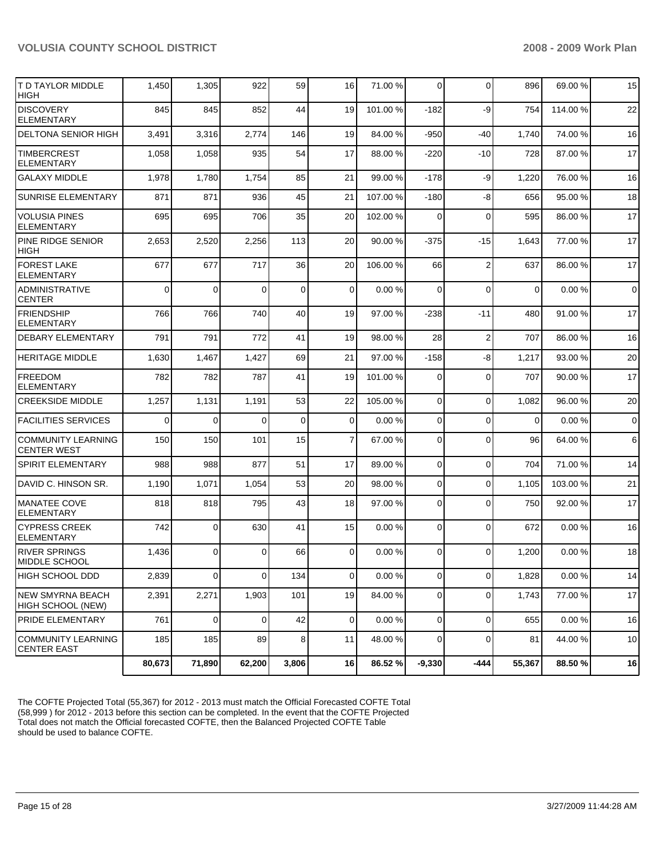| T D TAYLOR MIDDLE<br><b>HIGH</b>                | 1,450    | 1,305          | 922         | 59          | 16             | 71.00 %  | 0            | $\Omega$       | 896         | 69.00 %  | 15             |
|-------------------------------------------------|----------|----------------|-------------|-------------|----------------|----------|--------------|----------------|-------------|----------|----------------|
| <b>DISCOVERY</b><br><b>ELEMENTARY</b>           | 845      | 845            | 852         | 44          | 19             | 101.00 % | $-182$       | -9             | 754         | 114.00 % | 22             |
| DELTONA SENIOR HIGH                             | 3,491    | 3,316          | 2,774       | 146         | 19             | 84.00 %  | $-950$       | $-40$          | 1,740       | 74.00 %  | 16             |
| <b>TIMBERCREST</b><br><b>ELEMENTARY</b>         | 1,058    | 1,058          | 935         | 54          | 17             | 88.00 %  | $-220$       | $-10$          | 728         | 87.00 %  | 17             |
| <b>GALAXY MIDDLE</b>                            | 1,978    | 1,780          | 1,754       | 85          | 21             | 99.00 %  | $-178$       | -9             | 1,220       | 76.00 %  | 16             |
| <b>SUNRISE ELEMENTARY</b>                       | 871      | 871            | 936         | 45          | 21             | 107.00 % | $-180$       | -8             | 656         | 95.00 %  | 18             |
| <b>VOLUSIA PINES</b><br>ELEMENTARY              | 695      | 695            | 706         | 35          | 20             | 102.00%  | 0            | $\mathbf 0$    | 595         | 86.00 %  | 17             |
| PINE RIDGE SENIOR<br><b>HIGH</b>                | 2,653    | 2,520          | 2,256       | 113         | 20             | 90.00 %  | $-375$       | $-15$          | 1,643       | 77.00 %  | 17             |
| <b>FOREST LAKE</b><br><b>ELEMENTARY</b>         | 677      | 677            | 717         | 36          | 20             | 106.00 % | 66           | $\overline{2}$ | 637         | 86.00 %  | 17             |
| <b>ADMINISTRATIVE</b><br><b>CENTER</b>          | $\Omega$ | $\Omega$       | $\Omega$    | $\mathbf 0$ | $\mathbf 0$    | 0.00%    | $\mathbf 0$  | $\mathbf 0$    | $\mathbf 0$ | 0.00%    | $\overline{0}$ |
| <b>FRIENDSHIP</b><br><b>ELEMENTARY</b>          | 766      | 766            | 740         | 40          | 19             | 97.00 %  | $-238$       | $-11$          | 480         | 91.00 %  | 17             |
| <b>DEBARY ELEMENTARY</b>                        | 791      | 791            | 772         | 41          | 19             | 98.00 %  | 28           | $\overline{2}$ | 707         | 86.00 %  | 16             |
| <b>HERITAGE MIDDLE</b>                          | 1,630    | 1,467          | 1,427       | 69          | 21             | 97.00 %  | $-158$       | -8             | 1,217       | 93.00 %  | 20             |
| <b>FREEDOM</b><br><b>ELEMENTARY</b>             | 782      | 782            | 787         | 41          | 19             | 101.00 % | 0            | $\mathbf 0$    | 707         | 90.00 %  | 17             |
| <b>CREEKSIDE MIDDLE</b>                         | 1,257    | 1,131          | 1,191       | 53          | 22             | 105.00 % | $\mathbf 0$  | $\mathbf 0$    | 1,082       | 96.00 %  | 20             |
| <b>FACILITIES SERVICES</b>                      | $\Omega$ | $\Omega$       | $\Omega$    | $\mathbf 0$ | $\overline{0}$ | 0.00%    | $\mathbf 0$  | $\mathbf 0$    | $\Omega$    | 0.00%    | $\overline{0}$ |
| <b>COMMUNITY LEARNING</b><br><b>CENTER WEST</b> | 150      | 150            | 101         | 15          | $\overline{7}$ | 67.00 %  | 0            | $\Omega$       | 96          | 64.00 %  | 6              |
| <b>SPIRIT ELEMENTARY</b>                        | 988      | 988            | 877         | 51          | 17             | 89.00 %  | $\mathbf 0$  | $\mathbf 0$    | 704         | 71.00 %  | 14             |
| DAVID C. HINSON SR.                             | 1,190    | 1,071          | 1,054       | 53          | 20             | 98.00 %  | $\mathbf 0$  | $\Omega$       | 1,105       | 103.00 % | 21             |
| <b>MANATEE COVE</b><br><b>ELEMENTARY</b>        | 818      | 818            | 795         | 43          | 18             | 97.00 %  | $\mathbf 0$  | $\mathbf 0$    | 750         | 92.00 %  | 17             |
| <b>CYPRESS CREEK</b><br><b>ELEMENTARY</b>       | 742      | $\Omega$       | 630         | 41          | 15             | 0.00%    | 0            | $\mathbf 0$    | 672         | 0.00%    | 16             |
| <b>RIVER SPRINGS</b><br>MIDDLE SCHOOL           | 1,436    | $\Omega$       | $\Omega$    | 66          | $\mathbf{0}$   | 0.00%    | $\Omega$     | $\Omega$       | 1,200       | 0.00%    | 18             |
| <b>HIGH SCHOOL DDD</b>                          | 2,839    | $\overline{0}$ | $\mathbf 0$ | 134         | $\overline{0}$ | 0.00%    | $\mathbf 0$  | $\mathbf 0$    | 1,828       | 0.00%    | 14             |
| <b>NEW SMYRNA BEACH</b><br>HIGH SCHOOL (NEW)    | 2,391    | 2,271          | 1,903       | 101         | 19             | 84.00 %  | $\mathbf 0$  | $\mathbf 0$    | 1,743       | 77.00 %  | 17             |
| <b>PRIDE ELEMENTARY</b>                         | 761      | $\overline{0}$ | $\mathbf 0$ | 42          | $\overline{0}$ | 0.00%    | $\mathbf{0}$ | $\Omega$       | 655         | 0.00%    | 16             |
| COMMUNITY LEARNING<br><b>CENTER EAST</b>        | 185      | 185            | 89          | 8           | 11             | 48.00 %  | $\mathbf 0$  | $\Omega$       | 81          | 44.00 %  | $10$           |
|                                                 | 80,673   | 71,890         | 62,200      | 3,806       | 16             | 86.52 %  | $-9,330$     | $-444$         | 55,367      | 88.50 %  | 16             |

The COFTE Projected Total (55,367) for 2012 - 2013 must match the Official Forecasted COFTE Total (58,999) for 2012 - 2013 before this section can be completed. In the event that the COFTE Projected Total does not match the Official forecasted COFTE, then the Balanced Projected COFTE Table should be used to balance COFTE.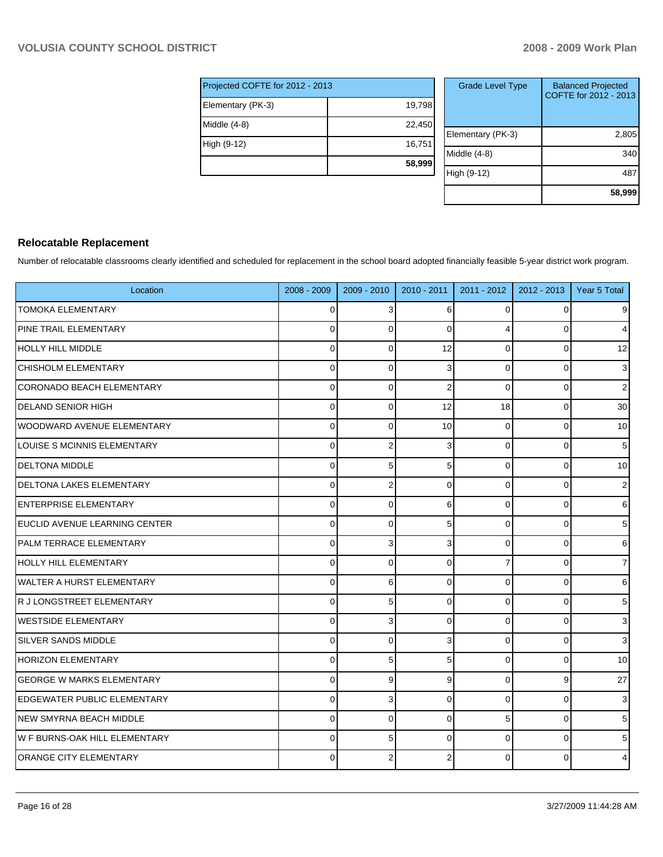|                                 | 58,999 |  |  |  |  |  |  |
|---------------------------------|--------|--|--|--|--|--|--|
| High (9-12)                     | 16,751 |  |  |  |  |  |  |
| Middle (4-8)                    | 22,450 |  |  |  |  |  |  |
| Elementary (PK-3)               | 19,798 |  |  |  |  |  |  |
| Projected COFTE for 2012 - 2013 |        |  |  |  |  |  |  |

| <b>Grade Level Type</b> | <b>Balanced Projected</b><br>COFTE for 2012 - 2013 |
|-------------------------|----------------------------------------------------|
| Elementary (PK-3)       | 2,805                                              |
| Middle (4-8)            | 340                                                |
| High (9-12)             | 48                                                 |
|                         | 58,999                                             |

## **Relocatable Replacement**

Number of relocatable classrooms clearly identified and scheduled for replacement in the school board adopted financially feasible 5-year district work program.

| Location                           | 2008 - 2009 | $2009 - 2010$  | 2010 - 2011    | 2011 - 2012    | $2012 - 2013$ | Year 5 Total            |
|------------------------------------|-------------|----------------|----------------|----------------|---------------|-------------------------|
| <b>TOMOKA ELEMENTARY</b>           | 0           | 3              | 6              | 0              | $\Omega$      | $\overline{9}$          |
| PINE TRAIL ELEMENTARY              | $\mathbf 0$ | $\Omega$       | $\Omega$       | 4              | $\Omega$      | $\overline{4}$          |
| HOLLY HILL MIDDLE                  | $\Omega$    | $\Omega$       | 12             | $\mathbf 0$    | $\Omega$      | 12                      |
| <b>CHISHOLM ELEMENTARY</b>         | $\Omega$    | $\Omega$       | 3              | $\Omega$       | $\Omega$      | 3 <sup>1</sup>          |
| CORONADO BEACH ELEMENTARY          | 0           | $\Omega$       | $\overline{2}$ | $\Omega$       | $\Omega$      | $\overline{2}$          |
| <b>DELAND SENIOR HIGH</b>          | $\Omega$    | $\Omega$       | 12             | 18             | $\Omega$      | 30                      |
| <b>WOODWARD AVENUE ELEMENTARY</b>  | 0           | $\Omega$       | 10             | $\mathbf 0$    | $\mathbf 0$   | 10                      |
| LOUISE S MCINNIS ELEMENTARY        | $\Omega$    | $\overline{2}$ | 3              | $\mathbf 0$    | $\Omega$      | $\sqrt{5}$              |
| <b>DELTONA MIDDLE</b>              | $\Omega$    | 5              | 5              | $\Omega$       | $\Omega$      | 10 <sup>1</sup>         |
| <b>DELTONA LAKES ELEMENTARY</b>    | 0           | $\overline{2}$ | 0              | 0              | $\Omega$      | $\mathbf{2}$            |
| ENTERPRISE ELEMENTARY              | $\Omega$    | $\Omega$       | 6              | 0              | $\Omega$      | 6 <sup>1</sup>          |
| EUCLID AVENUE LEARNING CENTER      | 0           | $\mathbf 0$    | 5              | 0              | 0             | $5\vert$                |
| PALM TERRACE ELEMENTARY            | 0           | 3              | 3              | 0              | 0             | $6 \,$                  |
| HOLLY HILL ELEMENTARY              | $\Omega$    | $\Omega$       | $\Omega$       | $\overline{7}$ | $\Omega$      | $\overline{7}$          |
| <b>WALTER A HURST ELEMENTARY</b>   | $\Omega$    | 6              | $\Omega$       | $\mathbf 0$    | $\Omega$      | $\,6$                   |
| R J LONGSTREET ELEMENTARY          | $\Omega$    | 5              | $\Omega$       | $\Omega$       | $\Omega$      | 5 <sup>1</sup>          |
| <b>WESTSIDE ELEMENTARY</b>         | $\mathbf 0$ | 3              | $\Omega$       | $\mathbf 0$    | 0             | $\overline{\mathbf{3}}$ |
| <b>SILVER SANDS MIDDLE</b>         | $\Omega$    | $\Omega$       | 3              | $\Omega$       | $\Omega$      | 3 <sup>1</sup>          |
| <b>HORIZON ELEMENTARY</b>          | $\Omega$    | 5              | 5              | $\Omega$       | $\Omega$      | 10                      |
| <b>GEORGE W MARKS ELEMENTARY</b>   | 0           | 9              | 9              | 0              | 9             | 27                      |
| <b>EDGEWATER PUBLIC ELEMENTARY</b> | $\mathbf 0$ | 3              | $\Omega$       | 0              | $\mathbf 0$   | 3 <sup>1</sup>          |
| NEW SMYRNA BEACH MIDDLE            | $\mathbf 0$ | $\Omega$       | $\Omega$       | 5              | 0             | 5 <sup>1</sup>          |
| W F BURNS-OAK HILL ELEMENTARY      | $\Omega$    | 5              | $\Omega$       | 0              | $\Omega$      | 5 <sup>1</sup>          |
| <b>ORANGE CITY ELEMENTARY</b>      | $\Omega$    | $\overline{2}$ |                | $\Omega$       | $\Omega$      | 4                       |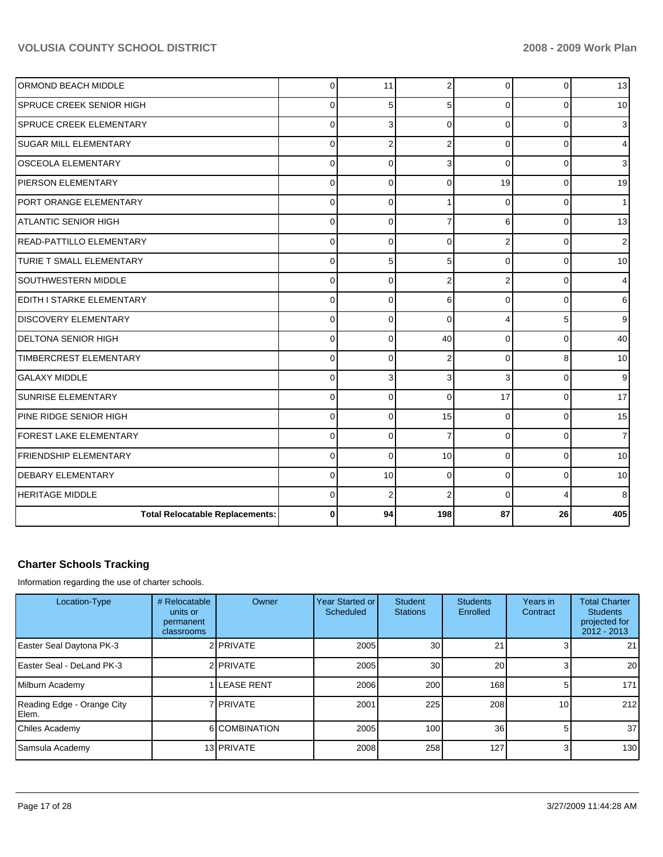| <b>ORMOND BEACH MIDDLE</b>             | $\mathbf 0$ | 11             | $\overline{2}$ | $\Omega$       | $\Omega$ | 13             |
|----------------------------------------|-------------|----------------|----------------|----------------|----------|----------------|
| <b>ISPRUCE CREEK SENIOR HIGH</b>       | $\mathbf 0$ | 5              | 5              | $\Omega$       | 0        | 10             |
| SPRUCE CREEK ELEMENTARY                | $\mathbf 0$ | 3              | $\Omega$       | $\Omega$       | 0        | 3              |
| <b>SUGAR MILL ELEMENTARY</b>           | $\Omega$    | $\overline{2}$ | $\overline{2}$ | $\Omega$       | $\Omega$ | 4              |
| IOSCEOLA ELEMENTARY                    | $\mathbf 0$ | $\Omega$       | 3              | $\Omega$       | 0        | 3              |
| <b>PIERSON ELEMENTARY</b>              | $\mathbf 0$ | 0              | $\Omega$       | 19             | 0        | 19             |
| PORT ORANGE ELEMENTARY                 | $\mathbf 0$ | $\mathbf 0$    |                | $\Omega$       | $\Omega$ |                |
| IATLANTIC SENIOR HIGH                  | $\mathbf 0$ | 0              | 7              | $6 \mid$       | 0        | 13             |
| READ-PATTILLO ELEMENTARY               | $\mathbf 0$ | 0              | $\Omega$       | $\overline{2}$ | 0        | 2              |
| <b>TURIE T SMALL ELEMENTARY</b>        | $\mathbf 0$ | 5              | 5              | $\Omega$       | $\Omega$ | 10             |
| SOUTHWESTERN MIDDLE                    | $\mathbf 0$ | $\mathbf 0$    | $\overline{2}$ | $\overline{2}$ | $\Omega$ | 4              |
| EDITH I STARKE ELEMENTARY              | $\mathbf 0$ | 0              | 6              | $\overline{0}$ | 0        | 6              |
| <b>DISCOVERY ELEMENTARY</b>            | $\mathbf 0$ | 0              | $\mathbf 0$    | 4              | 5        | 9              |
| <b>DELTONA SENIOR HIGH</b>             | $\mathbf 0$ | 0              | 40             | $\Omega$       | $\Omega$ | 40             |
| TIMBERCREST ELEMENTARY                 | $\Omega$    | $\Omega$       | $\overline{2}$ | $\Omega$       | 8        | 10             |
| lGALAXY MIDDLE                         | $\mathbf 0$ | 3              | 3              | 3              | 0        | 9              |
| <b>SUNRISE ELEMENTARY</b>              | $\mathbf 0$ | $\overline{0}$ | $\Omega$       | 17             | $\Omega$ | 17             |
| PINE RIDGE SENIOR HIGH                 | $\mathbf 0$ | 0              | 15             | $\Omega$       | $\Omega$ | 15             |
| FOREST LAKE ELEMENTARY                 | $\mathbf 0$ | 0              | 7              | 0              | 0        | $\overline{7}$ |
| <b>FRIENDSHIP ELEMENTARY</b>           | $\mathbf 0$ | $\mathbf 0$    | 10             | $\Omega$       | 0        | 10             |
| <b>DEBARY ELEMENTARY</b>               | $\mathbf 0$ | 10             | $\mathbf 0$    | $\overline{0}$ | 0        | 10             |
| <b>HERITAGE MIDDLE</b>                 | $\Omega$    | $\overline{2}$ | $\overline{2}$ | $\Omega$       | 4        | 8              |
| <b>Total Relocatable Replacements:</b> | $\bf{0}$    | 94             | 198            | 87             | 26       | 405            |

## **Charter Schools Tracking**

Information regarding the use of charter schools.

| Location-Type                       | # Relocatable<br>units or<br>permanent<br>classrooms | Owner              | Year Started or <b>I</b><br>Scheduled | <b>Student</b><br><b>Stations</b> | <b>Students</b><br>Enrolled | Years in<br>Contract | <b>Total Charter</b><br><b>Students</b><br>projected for<br>$2012 - 2013$ |
|-------------------------------------|------------------------------------------------------|--------------------|---------------------------------------|-----------------------------------|-----------------------------|----------------------|---------------------------------------------------------------------------|
| Easter Seal Daytona PK-3            |                                                      | 2 PRIVATE          | 2005                                  | 30                                | 21                          | 31                   | 21                                                                        |
| Easter Seal - DeLand PK-3           |                                                      | 2 PRIVATE          | 2005                                  | 30                                | <b>20</b>                   | 31                   | 20                                                                        |
| Milburn Academy                     |                                                      | <b>ILEASE RENT</b> | 2006                                  | 200                               | 168                         | 5                    | 171                                                                       |
| Reading Edge - Orange City<br>Elem. |                                                      | 7 <b>PRIVATE</b>   | 2001                                  | 225                               | 208                         | 10 <sup>1</sup>      | 212                                                                       |
| Chiles Academy                      |                                                      | 6 COMBINATION      | 2005                                  | 100                               | 36 <sup>1</sup>             | 5                    | 37                                                                        |
| Samsula Academy                     |                                                      | 13 PRIVATE         | 2008                                  | 258                               | 127                         | 3                    | 130                                                                       |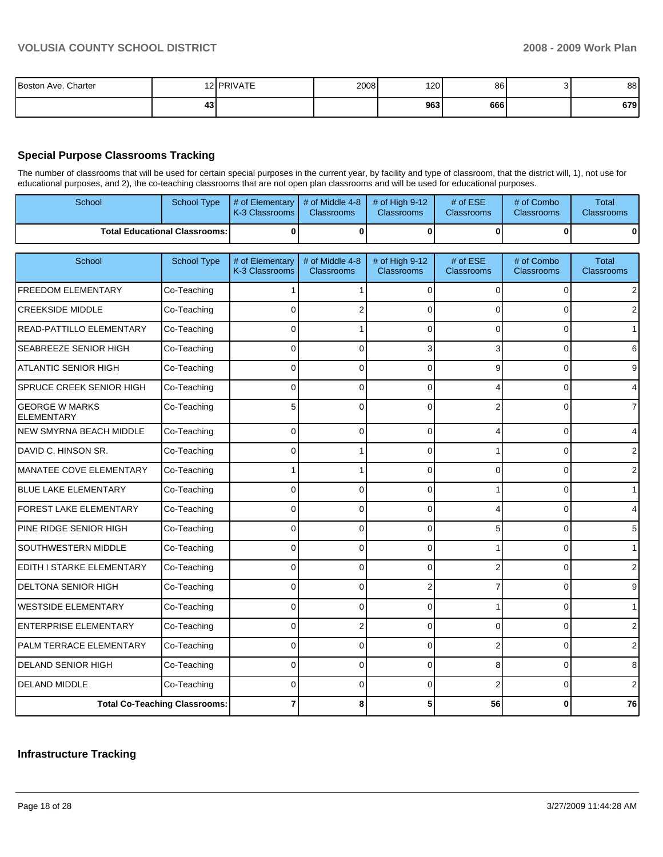| Boston Ave. Charter<br>$\sim$ $\sim$ $\sim$ $\sim$ |    | $I$ DDIVATE | 2008 | 120 | 86  | 88  |
|----------------------------------------------------|----|-------------|------|-----|-----|-----|
|                                                    | 43 |             |      | 963 | 666 | 679 |

### **Special Purpose Classrooms Tracking**

The number of classrooms that will be used for certain special purposes in the current year, by facility and type of classroom, that the district will, 1), not use for educational purposes, and 2), the co-teaching classrooms that are not open plan classrooms and will be used for educational purposes.

| School                                     | <b>School Type</b>                   | # of Elementary<br>K-3 Classrooms | # of Middle 4-8<br><b>Classrooms</b> | # of High 9-12<br><b>Classrooms</b> | # of ESE<br>Classrooms | # of Combo<br><b>Classrooms</b> | <b>Total</b><br><b>Classrooms</b> |
|--------------------------------------------|--------------------------------------|-----------------------------------|--------------------------------------|-------------------------------------|------------------------|---------------------------------|-----------------------------------|
|                                            | <b>Total Educational Classrooms:</b> | 0                                 | 0                                    | $\Omega$                            | 0                      | 0                               | $\Omega$                          |
| School                                     | <b>School Type</b>                   | # of Elementary                   | # of Middle 4-8                      | # of High 9-12                      | # of ESE               | # of Combo                      | <b>Total</b>                      |
|                                            |                                      | K-3 Classrooms                    | <b>Classrooms</b>                    | <b>Classrooms</b>                   | Classrooms             | <b>Classrooms</b>               | <b>Classrooms</b>                 |
| FREEDOM ELEMENTARY                         | Co-Teaching                          |                                   |                                      | $\Omega$                            | 0                      | $\Omega$                        | 2                                 |
| <b>CREEKSIDE MIDDLE</b>                    | Co-Teaching                          | 0                                 | 2                                    | $\Omega$                            | 0                      | $\Omega$                        | $\overline{2}$                    |
| READ-PATTILLO ELEMENTARY                   | Co-Teaching                          | $\Omega$                          |                                      | $\Omega$                            | 0                      | $\Omega$                        | $\mathbf{1}$                      |
| SEABREEZE SENIOR HIGH                      | Co-Teaching                          | 0                                 | 0                                    | 3                                   | 3                      | $\Omega$                        | 6                                 |
| <b>ATLANTIC SENIOR HIGH</b>                | Co-Teaching                          | 0                                 | $\Omega$                             | $\Omega$                            | 9                      | $\Omega$                        | 9                                 |
| SPRUCE CREEK SENIOR HIGH                   | Co-Teaching                          | 0                                 | $\overline{0}$                       | $\Omega$                            | 4                      | $\Omega$                        | 4                                 |
| <b>GEORGE W MARKS</b><br><b>ELEMENTARY</b> | Co-Teaching                          | 5                                 | $\Omega$                             | $\Omega$                            | 2                      | O                               | $\overline{7}$                    |
| <b>NEW SMYRNA BEACH MIDDLE</b>             | Co-Teaching                          | $\Omega$                          | 0                                    | $\Omega$                            | 4                      | $\Omega$                        | 4                                 |
| DAVID C. HINSON SR.                        | Co-Teaching                          | $\Omega$                          |                                      | $\Omega$                            |                        | $\Omega$                        | $\overline{2}$                    |
| MANATEE COVE ELEMENTARY                    | Co-Teaching                          |                                   |                                      | $\Omega$                            | 0                      | $\Omega$                        | 2                                 |
| <b>BLUE LAKE ELEMENTARY</b>                | Co-Teaching                          | $\Omega$                          | $\overline{0}$                       | $\Omega$                            |                        | $\overline{0}$                  | $\mathbf{1}$                      |
| FOREST LAKE ELEMENTARY                     | Co-Teaching                          | 0                                 | $\overline{0}$                       | $\Omega$                            | 4                      | $\Omega$                        | 4                                 |
| PINE RIDGE SENIOR HIGH                     | Co-Teaching                          | 0                                 | $\overline{0}$                       | $\Omega$                            | 5                      | $\Omega$                        | 5                                 |
| SOUTHWESTERN MIDDLE                        | Co-Teaching                          | $\Omega$                          | $\Omega$                             | $\Omega$                            |                        | $\Omega$                        | $\mathbf{1}$                      |
| EDITH I STARKE ELEMENTARY                  | Co-Teaching                          | 0                                 | 0                                    | $\Omega$                            | $\overline{2}$         | $\Omega$                        | 2                                 |
| <b>DELTONA SENIOR HIGH</b>                 | Co-Teaching                          | $\Omega$                          | 0                                    | $\overline{2}$                      | 7                      | $\Omega$                        | 9                                 |
| <b>WESTSIDE ELEMENTARY</b>                 | Co-Teaching                          | $\Omega$                          | 0                                    | $\Omega$                            | 1                      | $\Omega$                        | $\mathbf{1}$                      |
| <b>ENTERPRISE ELEMENTARY</b>               | Co-Teaching                          | 0                                 | $\overline{2}$                       | $\Omega$                            | 0                      | $\Omega$                        | $\overline{2}$                    |
| PALM TERRACE ELEMENTARY                    | Co-Teaching                          | 0                                 | $\Omega$                             | $\Omega$                            | $\overline{2}$         | $\Omega$                        | $\overline{2}$                    |
| <b>DELAND SENIOR HIGH</b>                  | Co-Teaching                          | 0                                 | 0                                    | $\Omega$                            | 8                      | 0                               | 8                                 |
| DELAND MIDDLE                              | Co-Teaching                          | $\Omega$                          | 0                                    | $\Omega$                            | $\overline{2}$         | $\Omega$                        | $\overline{2}$                    |
|                                            | <b>Total Co-Teaching Classrooms:</b> |                                   | 8                                    | 5                                   | 56                     | $\bf{0}$                        | 76                                |

#### **Infrastructure Tracking**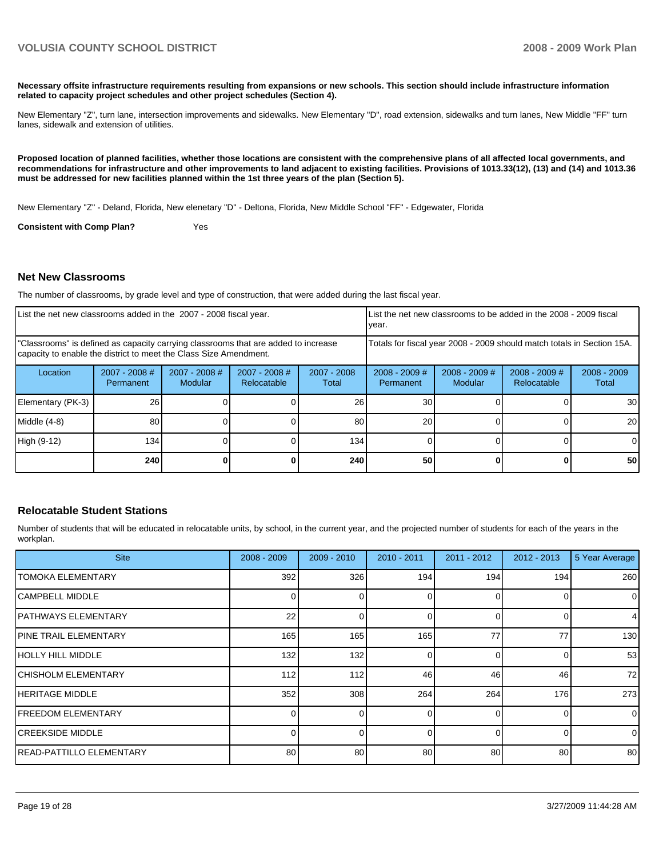**Necessary offsite infrastructure requirements resulting from expansions or new schools. This section should include infrastructure information related to capacity project schedules and other project schedules (Section 4).** 

New Elementary "Z", turn lane, intersection improvements and sidewalks. New Elementary "D", road extension, sidewalks and turn lanes, New Middle "FF" turn lanes, sidewalk and extension of utilities.

**Proposed location of planned facilities, whether those locations are consistent with the comprehensive plans of all affected local governments, and recommendations for infrastructure and other improvements to land adjacent to existing facilities. Provisions of 1013.33(12), (13) and (14) and 1013.36 must be addressed for new facilities planned within the 1st three years of the plan (Section 5).** 

New Elementary "Z" - Deland, Florida, New elenetary "D" - Deltona, Florida, New Middle School "FF" - Edgewater, Florida

**Consistent with Comp Plan?** Yes

#### **Net New Classrooms**

The number of classrooms, by grade level and type of construction, that were added during the last fiscal year.

| List the net new classrooms added in the 2007 - 2008 fiscal year.<br>year.                                                                              |                                                                        |                                   |                                |                        |                              |                            | List the net new classrooms to be added in the 2008 - 2009 fiscal |                        |
|---------------------------------------------------------------------------------------------------------------------------------------------------------|------------------------------------------------------------------------|-----------------------------------|--------------------------------|------------------------|------------------------------|----------------------------|-------------------------------------------------------------------|------------------------|
| "Classrooms" is defined as capacity carrying classrooms that are added to increase<br>capacity to enable the district to meet the Class Size Amendment. | Totals for fiscal year 2008 - 2009 should match totals in Section 15A. |                                   |                                |                        |                              |                            |                                                                   |                        |
| Location                                                                                                                                                | $2007 - 2008$ #<br>Permanent                                           | $2007 - 2008$ #<br><b>Modular</b> | $2007 - 2008$ #<br>Relocatable | $2007 - 2008$<br>Total | $2008 - 2009$ #<br>Permanent | $2008 - 2009$ #<br>Modular | $2008 - 2009$ #<br>Relocatable                                    | $2008 - 2009$<br>Total |
| Elementary (PK-3)                                                                                                                                       | 26                                                                     |                                   |                                | 26                     | 30                           |                            |                                                                   | 30 I                   |
| Middle (4-8)                                                                                                                                            | 80                                                                     |                                   |                                | 80                     | 20                           |                            |                                                                   | <b>20</b>              |
| High (9-12)                                                                                                                                             | 134                                                                    |                                   |                                | 134                    |                              |                            |                                                                   |                        |
|                                                                                                                                                         | 240                                                                    |                                   |                                | 240                    | 50                           |                            |                                                                   | 50                     |

#### **Relocatable Student Stations**

Number of students that will be educated in relocatable units, by school, in the current year, and the projected number of students for each of the years in the workplan.

| <b>Site</b>                   | 2008 - 2009 | $2009 - 2010$ | $2010 - 2011$ | $2011 - 2012$ | 2012 - 2013 | 5 Year Average |
|-------------------------------|-------------|---------------|---------------|---------------|-------------|----------------|
| <b>TOMOKA ELEMENTARY</b>      | 392         | 326           | 194           | 194           | 194         | 260            |
| ICAMPBELL MIDDLE              |             |               |               |               |             | $\overline{0}$ |
| <b>PATHWAYS ELEMENTARY</b>    | 22          | $\Omega$      |               | $\Omega$      |             | $\overline{4}$ |
| <b>IPINE TRAIL ELEMENTARY</b> | 165         | 165           | 165           | 77            | 77          | 130            |
| HOLLY HILL MIDDLE             | 132         | 132           |               | $\Omega$      |             | 53             |
| <b>CHISHOLM ELEMENTARY</b>    | 112         | 112           | 46            | 46            | 46          | 72             |
| <b>HERITAGE MIDDLE</b>        | 352         | 308           | 264           | 264           | 176         | 273            |
| <b>FREEDOM ELEMENTARY</b>     |             | $\Omega$      |               | $\Omega$      |             | $\overline{0}$ |
| <b>ICREEKSIDE MIDDLE</b>      |             |               |               | $\Omega$      |             | $\Omega$       |
| IREAD-PATTILLO ELEMENTARY     | 80          | 80            | 80            | 80            | 80          | 80             |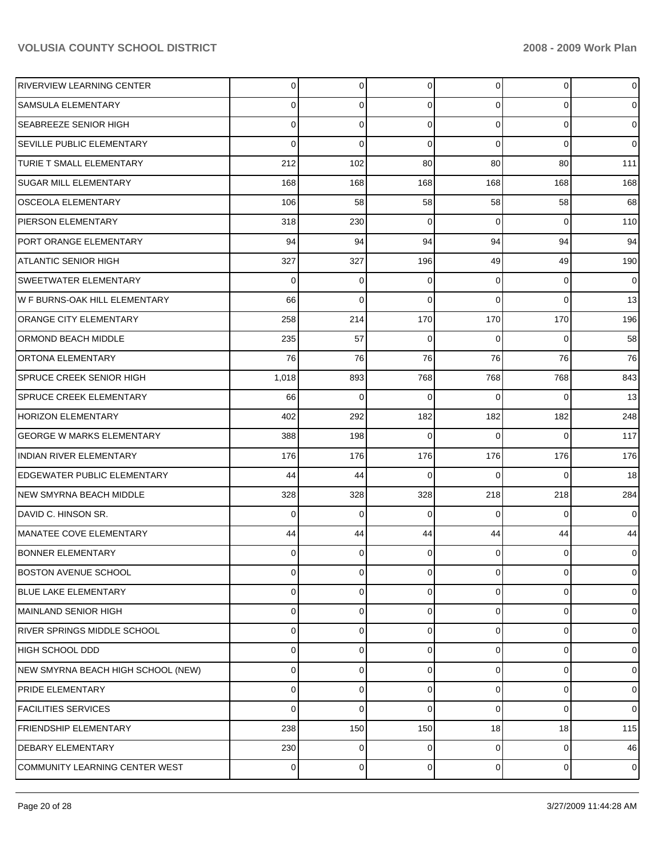| <b>RIVERVIEW LEARNING CENTER</b>   | $\overline{0}$ | 0           | $\mathbf 0$ | $\overline{0}$ | $\mathbf 0$ | $\overline{0}$ |
|------------------------------------|----------------|-------------|-------------|----------------|-------------|----------------|
| SAMSULA ELEMENTARY                 | 0              | 0           | 0           | 0              | 0           | $\overline{0}$ |
| <b>SEABREEZE SENIOR HIGH</b>       | 0              | 0           | $\mathbf 0$ | 0              | $\mathbf 0$ | $\overline{0}$ |
| <b>SEVILLE PUBLIC ELEMENTARY</b>   | 0              | $\mathbf 0$ | $\mathbf 0$ | $\Omega$       | $\Omega$    | $\overline{0}$ |
| TURIE T SMALL ELEMENTARY           | 212            | 102         | 80          | 80             | 80          | $111$          |
| <b>SUGAR MILL ELEMENTARY</b>       | 168            | 168         | 168         | 168            | 168         | 168            |
| <b>OSCEOLA ELEMENTARY</b>          | 106            | 58          | 58          | 58             | 58          | 68             |
| PIERSON ELEMENTARY                 | 318            | 230         | 0           | $\Omega$       | $\Omega$    | 110            |
| PORT ORANGE ELEMENTARY             | 94             | 94          | 94          | 94             | 94          | 94             |
| <b>ATLANTIC SENIOR HIGH</b>        | 327            | 327         | 196         | 49             | 49          | 190            |
| <b>SWEETWATER ELEMENTARY</b>       | 0              | 0           | 0           | $\Omega$       | 0           | $\mathbf 0$    |
| W F BURNS-OAK HILL ELEMENTARY      | 66             | 0           | 0           | $\Omega$       | $\Omega$    | 13             |
| <b>ORANGE CITY ELEMENTARY</b>      | 258            | 214         | 170         | 170            | 170         | 196            |
| ORMOND BEACH MIDDLE                | 235            | 57          | $\mathbf 0$ | $\Omega$       | $\Omega$    | 58             |
| <b>ORTONA ELEMENTARY</b>           | 76             | 76          | 76          | 76             | 76          | 76             |
| <b>SPRUCE CREEK SENIOR HIGH</b>    | 1,018          | 893         | 768         | 768            | 768         | 843            |
| <b>SPRUCE CREEK ELEMENTARY</b>     | 66             | 0           | $\mathbf 0$ | $\Omega$       | $\Omega$    | 13             |
| <b>HORIZON ELEMENTARY</b>          | 402            | 292         | 182         | 182            | 182         | 248            |
| <b>GEORGE W MARKS ELEMENTARY</b>   | 388            | 198         | $\Omega$    | $\Omega$       | $\Omega$    | 117            |
| <b>INDIAN RIVER ELEMENTARY</b>     | 176            | 176         | 176         | 176            | 176         | 176            |
| EDGEWATER PUBLIC ELEMENTARY        | 44             | 44          | $\Omega$    | $\Omega$       | $\Omega$    | 18             |
| <b>NEW SMYRNA BEACH MIDDLE</b>     | 328            | 328         | 328         | 218            | 218         | 284            |
| IDAVID C. HINSON SR.               | 0              | 0           | 0           | $\Omega$       | $\Omega$    | $\overline{0}$ |
| MANATEE COVE ELEMENTARY            | 44             | 44          | 44          | 44             | 44          | 44             |
| <b>BONNER ELEMENTARY</b>           | 0              | 0           | 0           | 0              | 0           | 0              |
| <b>BOSTON AVENUE SCHOOL</b>        | 0              | 0           | 0           | 0              | 0           | 0              |
| <b>BLUE LAKE ELEMENTARY</b>        | 0              | 0           | 0           | 0              | $\Omega$    | $\overline{0}$ |
| MAINLAND SENIOR HIGH               | 0              | 0           | 0           | 0              | 0           | $\overline{0}$ |
| RIVER SPRINGS MIDDLE SCHOOL        | 0              | 0           | 0           | 0              | $\Omega$    | $\overline{0}$ |
| IHIGH SCHOOL DDD                   | 0              | 0           | $\Omega$    | 0              | 0           | $\overline{0}$ |
| NEW SMYRNA BEACH HIGH SCHOOL (NEW) | 0              | 0           | 0           | 0              | 0           | $\overline{0}$ |
| <b>PRIDE ELEMENTARY</b>            | 0              | 0           | $\Omega$    | 0              | $\Omega$    | $\overline{0}$ |
| <b>FACILITIES SERVICES</b>         | 0              | 0           | 0           | 0              | $\Omega$    | $\overline{0}$ |
| <b>FRIENDSHIP ELEMENTARY</b>       | 238            | 150         | 150         | 18             | 18          | 115            |
| <b>DEBARY ELEMENTARY</b>           | 230            | 0           | 0           | 0              | 0           | 46             |
| COMMUNITY LEARNING CENTER WEST     | 0              | 0           | 0           | 0              | 0           | $\overline{0}$ |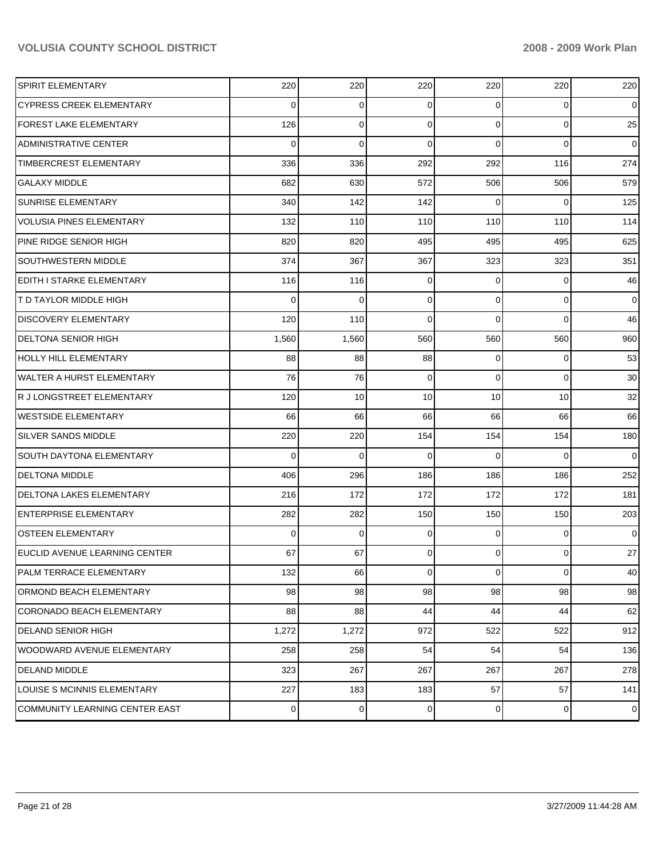| <b>SPIRIT ELEMENTARY</b>         | 220      | 220         | 220             | 220            | 220         | 220            |
|----------------------------------|----------|-------------|-----------------|----------------|-------------|----------------|
| <b>CYPRESS CREEK ELEMENTARY</b>  | $\Omega$ | 0           | $\Omega$        | 0              | $\Omega$    | $\overline{0}$ |
| <b>FOREST LAKE ELEMENTARY</b>    | 126      | $\Omega$    | $\Omega$        | $\Omega$       | $\Omega$    | 25             |
| <b>ADMINISTRATIVE CENTER</b>     | $\Omega$ | $\Omega$    | $\Omega$        | $\Omega$       | $\Omega$    | $\overline{0}$ |
| TIMBERCREST ELEMENTARY           | 336      | 336         | 292             | 292            | 116         | 274            |
| <b>GALAXY MIDDLE</b>             | 682      | 630         | 572             | 506            | 506         | 579            |
| <b>SUNRISE ELEMENTARY</b>        | 340      | 142         | 142             | $\Omega$       | $\Omega$    | 125            |
| <b>VOLUSIA PINES ELEMENTARY</b>  | 132      | 110         | 110             | 110            | 110         | 114            |
| PINE RIDGE SENIOR HIGH           | 820      | 820         | 495             | 495            | 495         | 625            |
| <b>SOUTHWESTERN MIDDLE</b>       | 374      | 367         | 367             | 323            | 323         | 351            |
| <b>EDITH I STARKE ELEMENTARY</b> | 116      | 116         | $\Omega$        | $\Omega$       | $\Omega$    | 46             |
| <b>T D TAYLOR MIDDLE HIGH</b>    | $\Omega$ | $\Omega$    | 0               | $\Omega$       | $\Omega$    | $\overline{0}$ |
| <b>DISCOVERY ELEMENTARY</b>      | 120      | 110         | $\Omega$        | $\Omega$       | $\Omega$    | 46             |
| <b>DELTONA SENIOR HIGH</b>       | 1,560    | 1,560       | 560             | 560            | 560         | 960            |
| <b>HOLLY HILL ELEMENTARY</b>     | 88       | 88          | 88              | $\Omega$       | $\Omega$    | 53             |
| <b>WALTER A HURST ELEMENTARY</b> | 76       | 76          | 0               | $\Omega$       | $\Omega$    | 30             |
| R J LONGSTREET ELEMENTARY        | 120      | 10          | 10 <sup>1</sup> | 10             | 10          | 32             |
| <b>WESTSIDE ELEMENTARY</b>       | 66       | 66          | 66              | 66             | 66          | 66             |
| <b>SILVER SANDS MIDDLE</b>       | 220      | 220         | 154             | 154            | 154         | 180            |
| <b>SOUTH DAYTONA ELEMENTARY</b>  | $\Omega$ | $\Omega$    | $\Omega$        | $\Omega$       | $\Omega$    | $\overline{0}$ |
| <b>DELTONA MIDDLE</b>            | 406      | 296         | 186             | 186            | 186         | 252            |
| <b>DELTONA LAKES ELEMENTARY</b>  | 216      | 172         | 172             | 172            | 172         | 181            |
| <b>ENTERPRISE ELEMENTARY</b>     | 282      | 282         | 150             | 150            | 150         | 203            |
| <b>OSTEEN ELEMENTARY</b>         | $\Omega$ | $\Omega$    | $\Omega$        | $\Omega$       | $\Omega$    | $\overline{0}$ |
| EUCLID AVENUE LEARNING CENTER    | 67       | 67          | $\Omega$        | $\Omega$       | $\Omega$    | 27             |
| PALM TERRACE ELEMENTARY          | 132      | 66          | $\overline{0}$  | $\overline{0}$ | $\mathbf 0$ | 40             |
| ORMOND BEACH ELEMENTARY          | 98       | 98          | 98              | 98             | 98          | 98             |
| CORONADO BEACH ELEMENTARY        | 88       | 88          | 44              | 44             | 44          | 62             |
| <b>DELAND SENIOR HIGH</b>        | 1,272    | 1,272       | 972             | 522            | 522         | 912            |
| WOODWARD AVENUE ELEMENTARY       | 258      | 258         | 54              | 54             | 54          | 136            |
| DELAND MIDDLE                    | 323      | 267         | 267             | 267            | 267         | 278            |
| LOUISE S MCINNIS ELEMENTARY      | 227      | 183         | 183             | 57             | 57          | 141            |
| COMMUNITY LEARNING CENTER EAST   | 0        | $\mathbf 0$ | $\overline{0}$  | $\mathbf 0$    | $\mathbf 0$ | $\overline{0}$ |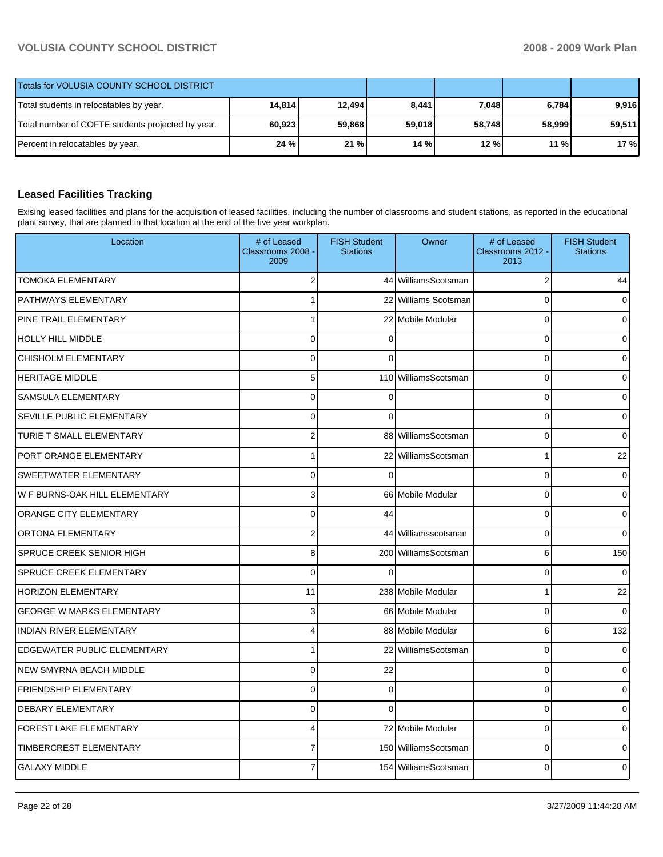| Totals for VOLUSIA COUNTY SCHOOL DISTRICT         |        |        |        |        |         |        |
|---------------------------------------------------|--------|--------|--------|--------|---------|--------|
| Total students in relocatables by year.           | 14.814 | 12.494 | 8,441  | 7,048  | 6,784   | 9.916  |
| Total number of COFTE students projected by year. | 60,923 | 59.868 | 59.018 | 58.748 | 58.9991 | 59.511 |
| Percent in relocatables by year.                  | 24 %   | 21%    | 14 %   | 12 %   | 11%     | 17 %   |

#### **Leased Facilities Tracking**

Exising leased facilities and plans for the acquisition of leased facilities, including the number of classrooms and student stations, as reported in the educational plant survey, that are planned in that location at the end of the five year workplan.

| Location                           | # of Leased<br>Classrooms 2008<br>2009 | <b>FISH Student</b><br><b>Stations</b> | Owner                | # of Leased<br>Classrooms 2012 -<br>2013 | <b>FISH Student</b><br><b>Stations</b> |
|------------------------------------|----------------------------------------|----------------------------------------|----------------------|------------------------------------------|----------------------------------------|
| <b>TOMOKA ELEMENTARY</b>           | 2                                      |                                        | 44 WilliamsScotsman  | $\overline{2}$                           | 44                                     |
| PATHWAYS ELEMENTARY                | 1                                      |                                        | 22 Williams Scotsman | $\Omega$                                 |                                        |
| PINE TRAIL ELEMENTARY              | $\mathbf{1}$                           |                                        | 22 Mobile Modular    | $\Omega$                                 |                                        |
| <b>HOLLY HILL MIDDLE</b>           | $\overline{0}$                         | $\Omega$                               |                      | $\Omega$                                 |                                        |
| <b>CHISHOLM ELEMENTARY</b>         | 0                                      | $\Omega$                               |                      | $\mathbf 0$                              |                                        |
| <b>HERITAGE MIDDLE</b>             | 5                                      |                                        | 110 WilliamsScotsman | $\mathbf 0$                              |                                        |
| SAMSULA ELEMENTARY                 | 0                                      | $\Omega$                               |                      | $\Omega$                                 |                                        |
| SEVILLE PUBLIC ELEMENTARY          | 0                                      | $\Omega$                               |                      | $\mathbf 0$                              |                                        |
| TURIE T SMALL ELEMENTARY           | $\overline{2}$                         |                                        | 88 WilliamsScotsman  | $\mathbf 0$                              |                                        |
| PORT ORANGE ELEMENTARY             | $\mathbf{1}$                           |                                        | 22 WilliamsScotsman  | 1                                        | 22                                     |
| SWEETWATER ELEMENTARY              | 0                                      | $\Omega$                               |                      | $\mathbf 0$                              | O                                      |
| W F BURNS-OAK HILL ELEMENTARY      | 3                                      |                                        | 66 Mobile Modular    | $\mathbf 0$                              |                                        |
| <b>ORANGE CITY ELEMENTARY</b>      | 0                                      | 44                                     |                      | $\mathbf 0$                              |                                        |
| ORTONA ELEMENTARY                  | $\overline{\mathbf{c}}$                |                                        | 44 Williamsscotsman  | $\Omega$                                 |                                        |
| SPRUCE CREEK SENIOR HIGH           | 8                                      |                                        | 200 WilliamsScotsman | 6                                        | 150                                    |
| <b>SPRUCE CREEK ELEMENTARY</b>     | 0                                      | $\Omega$                               |                      | $\mathbf 0$                              | $\Omega$                               |
| <b>HORIZON ELEMENTARY</b>          | 11                                     |                                        | 238 Mobile Modular   | 1                                        | 22                                     |
| <b>GEORGE W MARKS ELEMENTARY</b>   | 3                                      |                                        | 66 Mobile Modular    | $\mathbf 0$                              |                                        |
| <b>INDIAN RIVER ELEMENTARY</b>     | 4                                      |                                        | 88 Mobile Modular    | 6                                        | 132                                    |
| <b>EDGEWATER PUBLIC ELEMENTARY</b> | 1                                      |                                        | 22 WilliamsScotsman  | $\mathbf 0$                              |                                        |
| NEW SMYRNA BEACH MIDDLE            | 0                                      | 22                                     |                      | $\mathbf 0$                              |                                        |
| <b>FRIENDSHIP ELEMENTARY</b>       | 0                                      | $\Omega$                               |                      | $\mathbf 0$                              |                                        |
| <b>DEBARY ELEMENTARY</b>           | 0                                      | $\Omega$                               |                      | $\mathbf 0$                              |                                        |
| <b>FOREST LAKE ELEMENTARY</b>      | 4                                      |                                        | 72 Mobile Modular    | $\mathbf{0}$                             |                                        |
| TIMBERCREST ELEMENTARY             | $\overline{7}$                         |                                        | 150 WilliamsScotsman | $\mathbf 0$                              |                                        |
| <b>GALAXY MIDDLE</b>               | 7                                      |                                        | 154 WilliamsScotsman | $\Omega$                                 |                                        |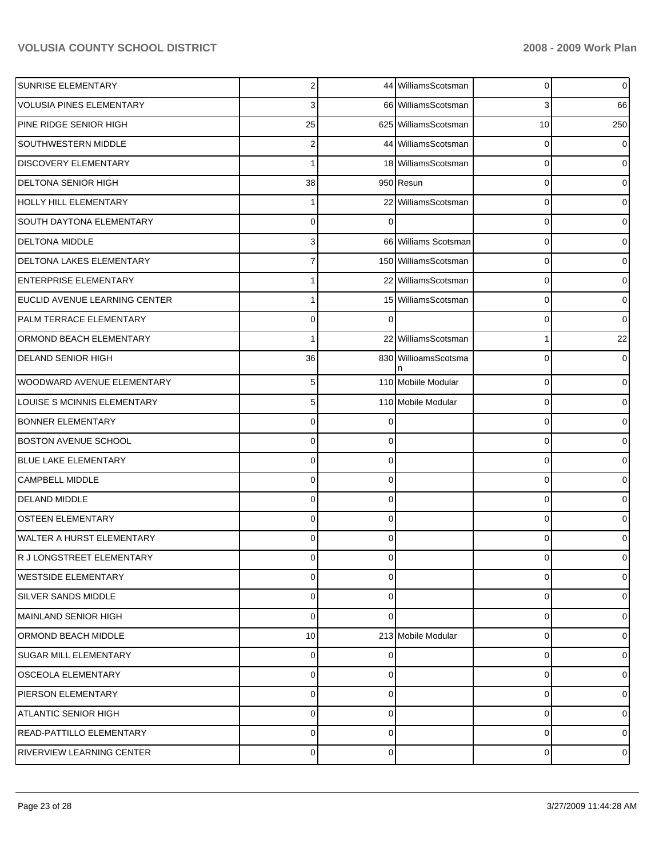| SUNRISE ELEMENTARY              | $\overline{2}$ |          | 44 WilliamsScotsman  | 0        | $\overline{0}$ |
|---------------------------------|----------------|----------|----------------------|----------|----------------|
| <b>VOLUSIA PINES ELEMENTARY</b> | 3              |          | 66 WilliamsScotsman  | 3        | 66             |
| PINE RIDGE SENIOR HIGH          | 25             |          | 625 WilliamsScotsman | 10       | 250            |
| <b>SOUTHWESTERN MIDDLE</b>      | $\overline{c}$ |          | 44 WilliamsScotsman  | 0        | 0              |
| DISCOVERY ELEMENTARY            |                |          | 18 WilliamsScotsman  | 0        | $\Omega$       |
| <b>DELTONA SENIOR HIGH</b>      | 38             |          | 950 Resun            | 0        | 0              |
| <b>HOLLY HILL ELEMENTARY</b>    |                |          | 22 WilliamsScotsman  | 0        | 0              |
| <b>SOUTH DAYTONA ELEMENTARY</b> | $\mathbf 0$    | $\Omega$ |                      | 0        | 0              |
| <b>DELTONA MIDDLE</b>           | 3              |          | 66 Williams Scotsman | 0        | 0              |
| DELTONA LAKES ELEMENTARY        | 7              |          | 150 WilliamsScotsman | 0        | 0              |
| <b>ENTERPRISE ELEMENTARY</b>    |                |          | 22 WilliamsScotsman  | 0        | $\Omega$       |
| EUCLID AVENUE LEARNING CENTER   |                |          | 15 WilliamsScotsman  | 0        | 0              |
| PALM TERRACE ELEMENTARY         | $\mathbf 0$    | ∩        |                      | 0        | $\Omega$       |
| ORMOND BEACH ELEMENTARY         |                |          | 22 WilliamsScotsman  | 1        | 22             |
| <b>DELAND SENIOR HIGH</b>       | 36             |          | 830 WillioamsScotsma | 0        | 0              |
| WOODWARD AVENUE ELEMENTARY      | $\sqrt{5}$     |          | 110 Mobiile Modular  | 0        | $\Omega$       |
| LOUISE S MCINNIS ELEMENTARY     | $\sqrt{5}$     |          | 110 Mobile Modular   | 0        | 0              |
| <b>BONNER ELEMENTARY</b>        | $\mathbf 0$    |          |                      | 0        | $\Omega$       |
| <b>BOSTON AVENUE SCHOOL</b>     | $\mathbf 0$    | 0        |                      | 0        | 0              |
| <b>BLUE LAKE ELEMENTARY</b>     | 0              | 0        |                      | 0        | $\Omega$       |
| <b>CAMPBELL MIDDLE</b>          | $\mathbf 0$    | 0        |                      | 0        | 0              |
| <b>DELAND MIDDLE</b>            | $\mathbf 0$    | 0        |                      | 0        | $\Omega$       |
| <b>OSTEEN ELEMENTARY</b>        | $\mathbf{0}$   | 0        |                      | 0        | 0              |
| WALTER A HURST ELEMENTARY       | $\mathbf 0$    | 0        |                      | 0        | $\Omega$       |
| R J LONGSTREET ELEMENTARY       | $\overline{0}$ | $\Omega$ |                      | $\Omega$ | 0              |
| <b>WESTSIDE ELEMENTARY</b>      | $\mathbf 0$    | $\Omega$ |                      | 0        | $\Omega$       |
| <b>SILVER SANDS MIDDLE</b>      | $\mathbf 0$    | $\Omega$ |                      | $\Omega$ | $\Omega$       |
| MAINLAND SENIOR HIGH            | $\mathbf 0$    | $\Omega$ |                      | 0        | $\Omega$       |
| ORMOND BEACH MIDDLE             | 10             |          | 213 Mobile Modular   | 0        | $\Omega$       |
| <b>SUGAR MILL ELEMENTARY</b>    | $\mathbf{0}$   | 0        |                      | 0        | $\Omega$       |
| <b>OSCEOLA ELEMENTARY</b>       | $\mathbf 0$    | $\Omega$ |                      | 0        | $\Omega$       |
| PIERSON ELEMENTARY              | $\mathbf 0$    | 0        |                      | 0        | $\Omega$       |
| <b>ATLANTIC SENIOR HIGH</b>     | $\mathbf 0$    | $\Omega$ |                      | 0        | $\Omega$       |
| <b>READ-PATTILLO ELEMENTARY</b> | $\mathbf 0$    | 0        |                      | 0        | 0              |
| RIVERVIEW LEARNING CENTER       | $\pmb{0}$      | 0        |                      | 0        | $\overline{0}$ |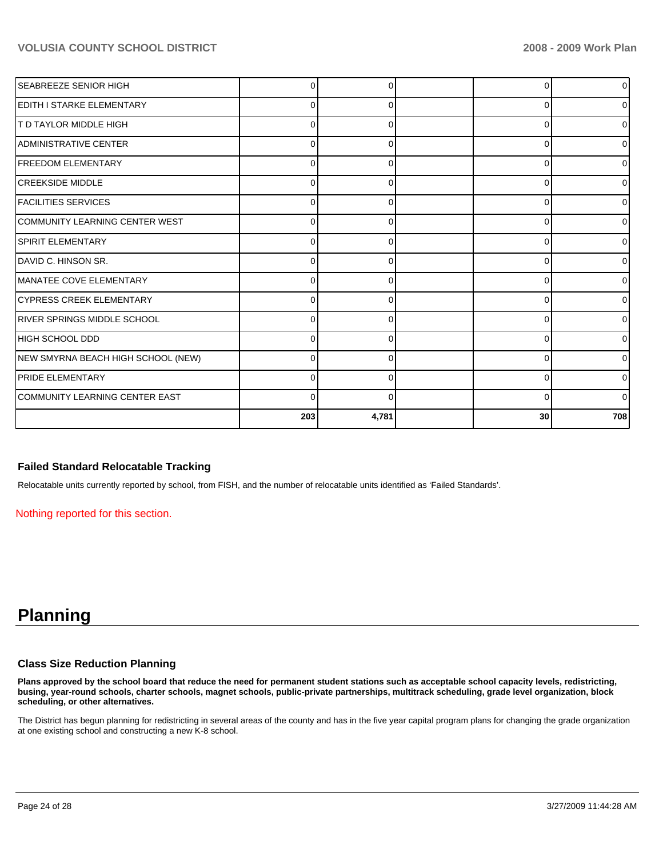| <b>SEABREEZE SENIOR HIGH</b>       |          | O        | r        | 0              |
|------------------------------------|----------|----------|----------|----------------|
| <b>IEDITH I STARKE ELEMENTARY</b>  | C        | $\Omega$ | 0        | 01             |
| IT D TAYLOR MIDDLE HIGH            | 0        | 0        | 0        | 0              |
| <b>ADMINISTRATIVE CENTER</b>       | 0        | $\Omega$ | 0        | 01             |
| <b>FREEDOM ELEMENTARY</b>          | 0        | 0        | 0        | 01             |
| <b>ICREEKSIDE MIDDLE</b>           | ∩        | 0        | 0        | 0              |
| <b>FACILITIES SERVICES</b>         | $\Omega$ | 0        | $\Omega$ | 0              |
| COMMUNITY LEARNING CENTER WEST     | C        | $\Omega$ | 0        | Οl             |
| SPIRIT ELEMENTARY                  | C        | O        | $\Omega$ | $\Omega$       |
| DAVID C. HINSON SR.                | C        | ∩        | $\Omega$ | 0              |
| MANATEE COVE ELEMENTARY            | C        | ∩        | 0        | 01             |
| <b>CYPRESS CREEK ELEMENTARY</b>    | C        | 0        | 0        | $\overline{0}$ |
| IRIVER SPRINGS MIDDLE SCHOOL       | C        | O        | 0        | 0              |
| HIGH SCHOOL DDD                    | C        | $\Omega$ | 0        | 01             |
| NEW SMYRNA BEACH HIGH SCHOOL (NEW) | 0        | 0        | 0        | 0              |
| <b>PRIDE ELEMENTARY</b>            | ∩        | 0        | 0        | 01             |
| COMMUNITY LEARNING CENTER EAST     | $\Omega$ | $\Omega$ | $\Omega$ | 01             |
|                                    | 203      | 4,781    | 30       | 708            |

#### **Failed Standard Relocatable Tracking**

Relocatable units currently reported by school, from FISH, and the number of relocatable units identified as 'Failed Standards'.

Nothing reported for this section.

## **Planning**

#### **Class Size Reduction Planning**

**Plans approved by the school board that reduce the need for permanent student stations such as acceptable school capacity levels, redistricting, busing, year-round schools, charter schools, magnet schools, public-private partnerships, multitrack scheduling, grade level organization, block scheduling, or other alternatives.** 

The District has begun planning for redistricting in several areas of the county and has in the five year capital program plans for changing the grade organization at one existing school and constructing a new K-8 school.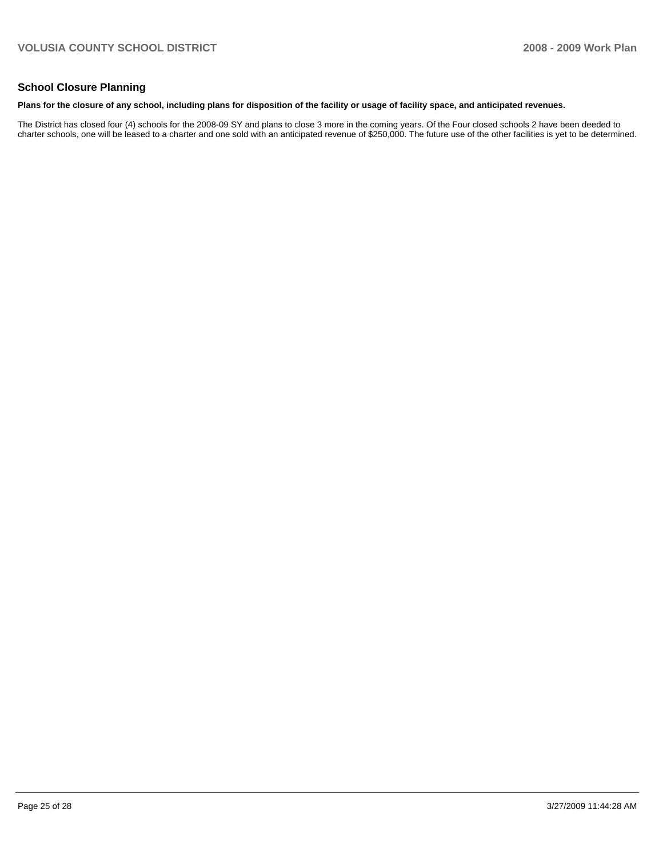#### **School Closure Planning**

#### **Plans for the closure of any school, including plans for disposition of the facility or usage of facility space, and anticipated revenues.**

The District has closed four (4) schools for the 2008-09 SY and plans to close 3 more in the coming years. Of the Four closed schools 2 have been deeded to charter schools, one will be leased to a charter and one sold with an anticipated revenue of \$250,000. The future use of the other facilities is yet to be determined.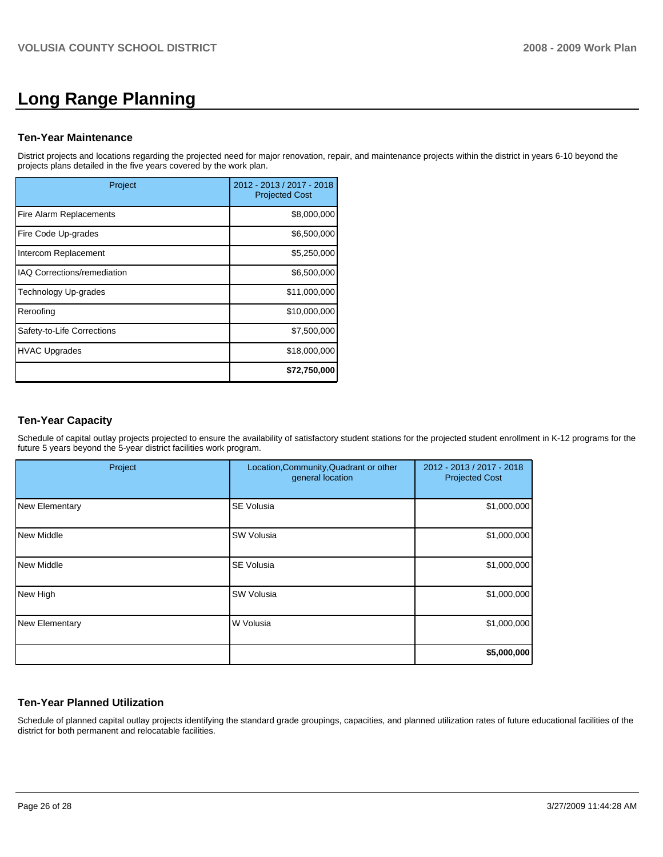# **Long Range Planning**

#### **Ten-Year Maintenance**

District projects and locations regarding the projected need for major renovation, repair, and maintenance projects within the district in years 6-10 beyond the projects plans detailed in the five years covered by the work plan.

| Project                            | 2012 - 2013 / 2017 - 2018<br><b>Projected Cost</b> |
|------------------------------------|----------------------------------------------------|
| Fire Alarm Replacements            | \$8,000,000                                        |
| Fire Code Up-grades                | \$6,500,000                                        |
| Intercom Replacement               | \$5,250,000                                        |
| <b>IAQ Corrections/remediation</b> | \$6,500,000                                        |
| <b>Technology Up-grades</b>        | \$11,000,000                                       |
| Reroofing                          | \$10,000,000                                       |
| Safety-to-Life Corrections         | \$7,500,000                                        |
| <b>HVAC Upgrades</b>               | \$18,000,000                                       |
|                                    | \$72,750,000                                       |

#### **Ten-Year Capacity**

Schedule of capital outlay projects projected to ensure the availability of satisfactory student stations for the projected student enrollment in K-12 programs for the future 5 years beyond the 5-year district facilities work program.

| Project        | Location, Community, Quadrant or other<br>general location | 2012 - 2013 / 2017 - 2018<br><b>Projected Cost</b> |
|----------------|------------------------------------------------------------|----------------------------------------------------|
| New Elementary | <b>SE Volusia</b>                                          | \$1,000,000                                        |
| New Middle     | <b>SW Volusia</b>                                          | \$1,000,000                                        |
| New Middle     | <b>SE Volusia</b>                                          | \$1,000,000                                        |
| New High       | <b>SW Volusia</b>                                          | \$1,000,000                                        |
| New Elementary | W Volusia                                                  | \$1,000,000                                        |
|                |                                                            | \$5,000,000                                        |

#### **Ten-Year Planned Utilization**

Schedule of planned capital outlay projects identifying the standard grade groupings, capacities, and planned utilization rates of future educational facilities of the district for both permanent and relocatable facilities.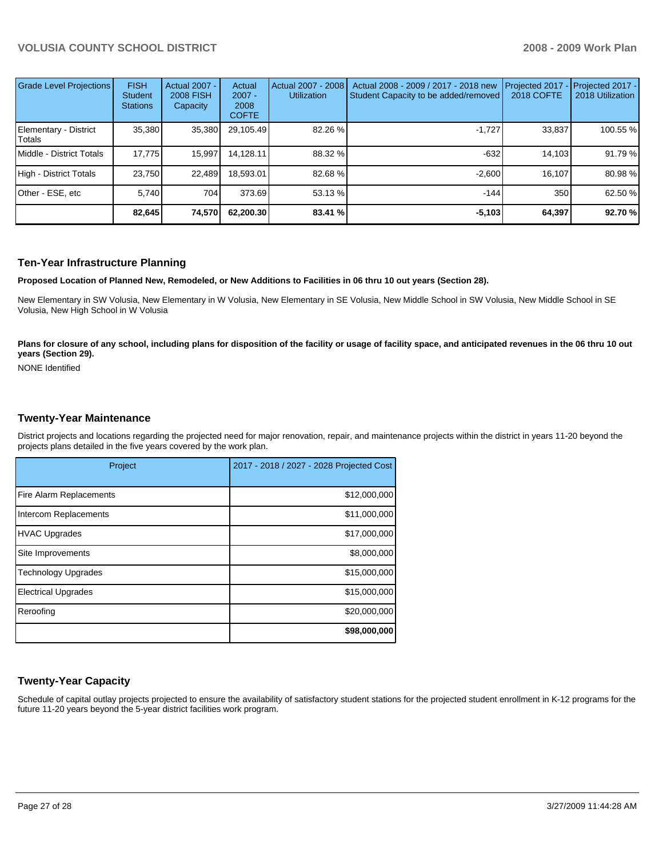| Grade Level Projections         | <b>FISH</b><br>Student<br><b>Stations</b> | <b>Actual 2007 -</b><br><b>2008 FISH</b><br>Capacity | Actual<br>$2007 -$<br>2008<br><b>COFTE</b> | Actual 2007 - 2008<br><b>Utilization</b> | Actual 2008 - 2009 / 2017 - 2018 new<br>Student Capacity to be added/removed | Projected 2017<br>2018 COFTE | Projected 2017 -<br>2018 Utilization |
|---------------------------------|-------------------------------------------|------------------------------------------------------|--------------------------------------------|------------------------------------------|------------------------------------------------------------------------------|------------------------------|--------------------------------------|
| Elementary - District<br>Totals | 35,380                                    | 35,380                                               | 29,105.49                                  | 82.26 %                                  | $-1.727$                                                                     | 33,837                       | 100.55 %                             |
| Middle - District Totals        | 17,775                                    | 15,997                                               | 14.128.11                                  | 88.32 %                                  | $-632$                                                                       | 14.103                       | 91.79 %                              |
| High - District Totals          | 23.750                                    | 22.489                                               | 18.593.01                                  | 82.68 %                                  | $-2.600$                                                                     | 16.107                       | 80.98 %                              |
| Other - ESE, etc                | 5.740                                     | 704                                                  | 373.69                                     | 53.13 %                                  | $-144$                                                                       | 350                          | 62.50 %                              |
|                                 | 82,645                                    | 74,570                                               | 62.200.30                                  | 83.41 %                                  | $-5,103$                                                                     | 64,397                       | 92.70 %                              |

#### **Ten-Year Infrastructure Planning**

**Proposed Location of Planned New, Remodeled, or New Additions to Facilities in 06 thru 10 out years (Section 28).** 

New Elementary in SW Volusia, New Elementary in W Volusia, New Elementary in SE Volusia, New Middle School in SW Volusia, New Middle School in SE Volusia, New High School in W Volusia

Plans for closure of any school, including plans for disposition of the facility or usage of facility space, and anticipated revenues in the 06 thru 10 out **years (Section 29).** 

NONE Identified

#### **Twenty-Year Maintenance**

District projects and locations regarding the projected need for major renovation, repair, and maintenance projects within the district in years 11-20 beyond the projects plans detailed in the five years covered by the work plan.

| Project                    | 2017 - 2018 / 2027 - 2028 Projected Cost |
|----------------------------|------------------------------------------|
| Fire Alarm Replacements    | \$12,000,000                             |
| Intercom Replacements      | \$11,000,000                             |
| HVAC Upgrades              | \$17,000,000                             |
| Site Improvements          | \$8,000,000                              |
| Technology Upgrades        | \$15,000,000                             |
| <b>Electrical Upgrades</b> | \$15,000,000                             |
| Reroofing                  | \$20,000,000                             |
|                            | \$98,000,000                             |

#### **Twenty-Year Capacity**

Schedule of capital outlay projects projected to ensure the availability of satisfactory student stations for the projected student enrollment in K-12 programs for the future 11-20 years beyond the 5-year district facilities work program.